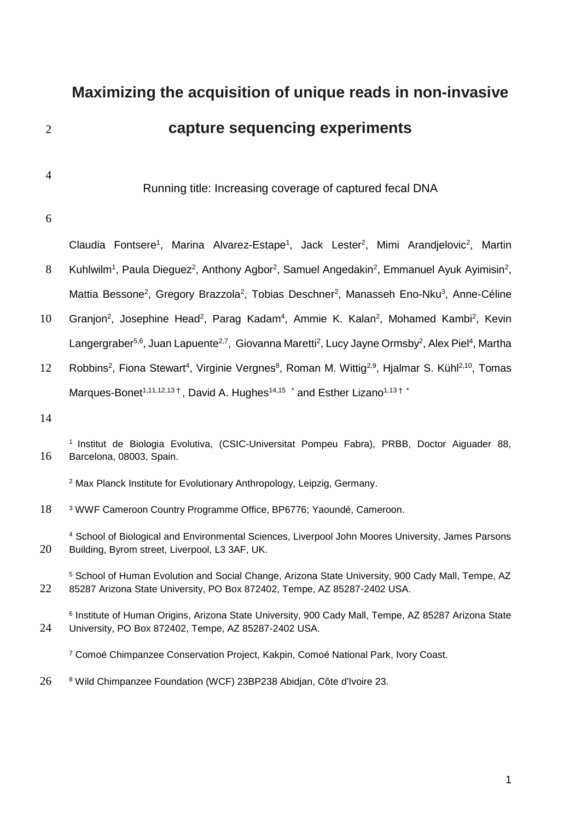# **Maximizing the acquisition of unique reads in non-invasive**  2 **capture sequencing experiments**

4

Running title: Increasing coverage of captured fecal DNA

#### 6

Claudia Fontsere<sup>1</sup>, Marina Alvarez-Estape<sup>1</sup>, Jack Lester<sup>2</sup>, Mimi Arandjelovic<sup>2</sup>, Martin 8 Kuhlwilm<sup>1</sup>, Paula Dieguez<sup>2</sup>, Anthony Agbor<sup>2</sup>, Samuel Angedakin<sup>2</sup>, Emmanuel Ayuk Ayimisin<sup>2</sup>, Mattia Bessone<sup>2</sup>, Gregory Brazzola<sup>2</sup>, Tobias Deschner<sup>2</sup>, Manasseh Eno-Nku<sup>3</sup>, Anne-Céline

- 10 Granjon<sup>2</sup>, Josephine Head<sup>2</sup>, Parag Kadam<sup>4</sup>, Ammie K. Kalan<sup>2</sup>, Mohamed Kambi<sup>2</sup>, Kevin Langergraber<sup>5,6</sup>, Juan Lapuente<sup>2,7</sup>, Giovanna Maretti<sup>2</sup>, Lucy Jayne Ormsby<sup>2</sup>, Alex Piel<sup>4</sup>, Martha
- 12 Robbins<sup>2</sup>, Fiona Stewart<sup>4</sup>, Virginie Vergnes<sup>8</sup>, Roman M. Wittig<sup>2,9</sup>, Hjalmar S. Kühl<sup>2,10</sup>, Tomas Marques-Bonet<sup>1,11,12,13†</sup>, David A. Hughes<sup>14,15</sup> \* and Esther Lizano<sup>1,13†</sup>\*
- 14
- <sup>1</sup> Institut de Biologia Evolutiva, (CSIC-Universitat Pompeu Fabra), PRBB, Doctor Aiguader 88, 16 Barcelona, 08003, Spain.
	- <sup>2</sup> Max Planck Institute for Evolutionary Anthropology, Leipzig, Germany.

18 <sup>3</sup> WWF Cameroon Country Programme Office, BP6776; Yaoundé, Cameroon.

<sup>4</sup> School of Biological and Environmental Sciences, Liverpool John Moores University, James Parsons 20 Building, Byrom street, Liverpool, L3 3AF, UK.

<sup>5</sup> School of Human Evolution and Social Change, Arizona State University, 900 Cady Mall, Tempe, AZ 22 85287 Arizona State University, PO Box 872402, Tempe, AZ 85287-2402 USA.

6 Institute of Human Origins, Arizona State University, 900 Cady Mall, Tempe, AZ 85287 Arizona State 24 University, PO Box 872402, Tempe, AZ 85287-2402 USA.

<sup>7</sup> Comoé Chimpanzee Conservation Project, Kakpin, Comoé National Park, Ivory Coast.

26 <sup>8</sup> Wild Chimpanzee Foundation (WCF) 23BP238 Abidjan, Côte d'Ivoire 23.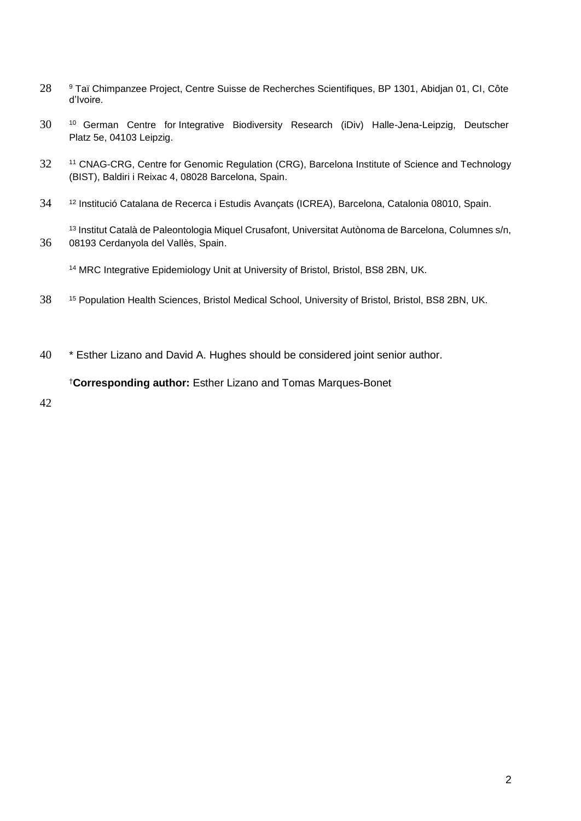- 28 9 Taï Chimpanzee Project, Centre Suisse de Recherches Scientifiques, BP 1301, Abidjan 01, CI, Côte d'Ivoire.
- 30 <sup>10</sup> German Centre for Integrative Biodiversity Research (iDiv) Halle-Jena-Leipzig, Deutscher Platz 5e, 04103 Leipzig.
- 32 11 CNAG-CRG, Centre for Genomic Regulation (CRG), Barcelona Institute of Science and Technology (BIST), Baldiri i Reixac 4, 08028 Barcelona, Spain.
- 34 <sup>12</sup> Institució Catalana de Recerca i Estudis Avançats (ICREA), Barcelona, Catalonia 08010, Spain.

13 Institut Català de Paleontologia Miquel Crusafont, Universitat Autònoma de Barcelona, Columnes s/n, 36 08193 Cerdanyola del Vallès, Spain.

<sup>14</sup> MRC Integrative Epidemiology Unit at University of Bristol, Bristol, BS8 2BN, UK.

- 38 <sup>15</sup> Population Health Sciences, Bristol Medical School, University of Bristol, Bristol, BS8 2BN, UK.
- 40 \* Esther Lizano and David A. Hughes should be considered joint senior author.

#### †**Corresponding author:** Esther Lizano and Tomas Marques-Bonet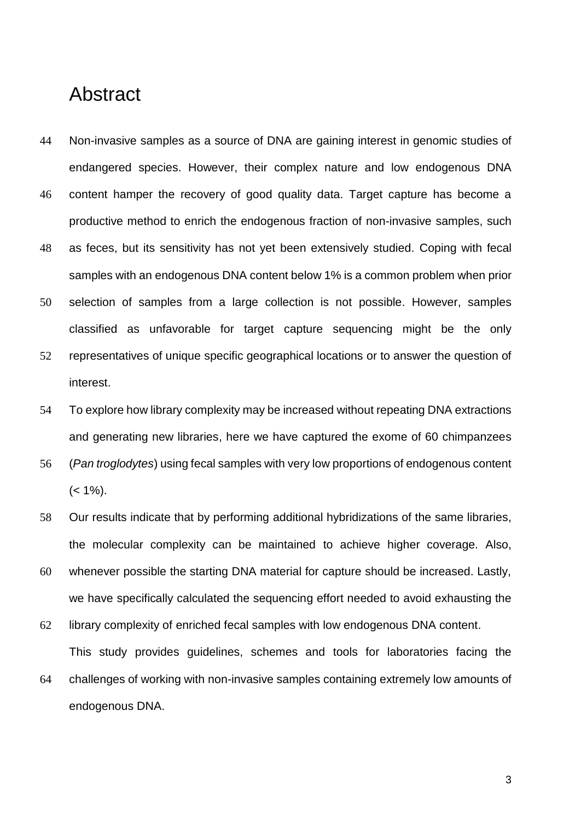# Abstract

- 44 Non-invasive samples as a source of DNA are gaining interest in genomic studies of endangered species. However, their complex nature and low endogenous DNA 46 content hamper the recovery of good quality data. Target capture has become a productive method to enrich the endogenous fraction of non-invasive samples, such 48 as feces, but its sensitivity has not yet been extensively studied. Coping with fecal samples with an endogenous DNA content below 1% is a common problem when prior
- 50 selection of samples from a large collection is not possible. However, samples classified as unfavorable for target capture sequencing might be the only
- 52 representatives of unique specific geographical locations or to answer the question of interest.
- 54 To explore how library complexity may be increased without repeating DNA extractions and generating new libraries, here we have captured the exome of 60 chimpanzees
- 56 (*Pan troglodytes*) using fecal samples with very low proportions of endogenous content  $(< 1\%)$ .
- 58 Our results indicate that by performing additional hybridizations of the same libraries, the molecular complexity can be maintained to achieve higher coverage. Also,
- 60 whenever possible the starting DNA material for capture should be increased. Lastly, we have specifically calculated the sequencing effort needed to avoid exhausting the
- 62 library complexity of enriched fecal samples with low endogenous DNA content. This study provides guidelines, schemes and tools for laboratories facing the
- 64 challenges of working with non-invasive samples containing extremely low amounts of endogenous DNA.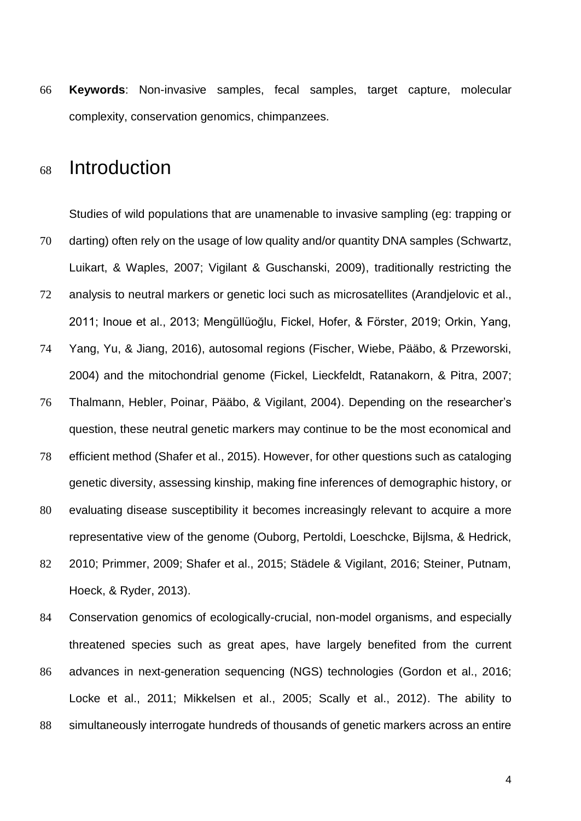66 **Keywords**: Non-invasive samples, fecal samples, target capture, molecular complexity, conservation genomics, chimpanzees.

# <sup>68</sup> Introduction

Studies of wild populations that are unamenable to invasive sampling (eg: trapping or 70 darting) often rely on the usage of low quality and/or quantity DNA samples (Schwartz, Luikart, & Waples, 2007; Vigilant & Guschanski, 2009), traditionally restricting the 72 analysis to neutral markers or genetic loci such as microsatellites (Arandjelovic et al., 2011; Inoue et al., 2013; Mengüllüoğlu, Fickel, Hofer, & Förster, 2019; Orkin, Yang, 74 Yang, Yu, & Jiang, 2016), autosomal regions (Fischer, Wiebe, Pääbo, & Przeworski, 2004) and the mitochondrial genome (Fickel, Lieckfeldt, Ratanakorn, & Pitra, 2007; 76 Thalmann, Hebler, Poinar, Pääbo, & Vigilant, 2004). Depending on the researcher's question, these neutral genetic markers may continue to be the most economical and 78 efficient method (Shafer et al., 2015). However, for other questions such as cataloging genetic diversity, assessing kinship, making fine inferences of demographic history, or 80 evaluating disease susceptibility it becomes increasingly relevant to acquire a more representative view of the genome (Ouborg, Pertoldi, Loeschcke, Bijlsma, & Hedrick, 82 2010; Primmer, 2009; Shafer et al., 2015; Städele & Vigilant, 2016; Steiner, Putnam, Hoeck, & Ryder, 2013).

84 Conservation genomics of ecologically-crucial, non-model organisms, and especially threatened species such as great apes, have largely benefited from the current 86 advances in next-generation sequencing (NGS) technologies (Gordon et al., 2016;

Locke et al., 2011; Mikkelsen et al., 2005; Scally et al., 2012). The ability to 88 simultaneously interrogate hundreds of thousands of genetic markers across an entire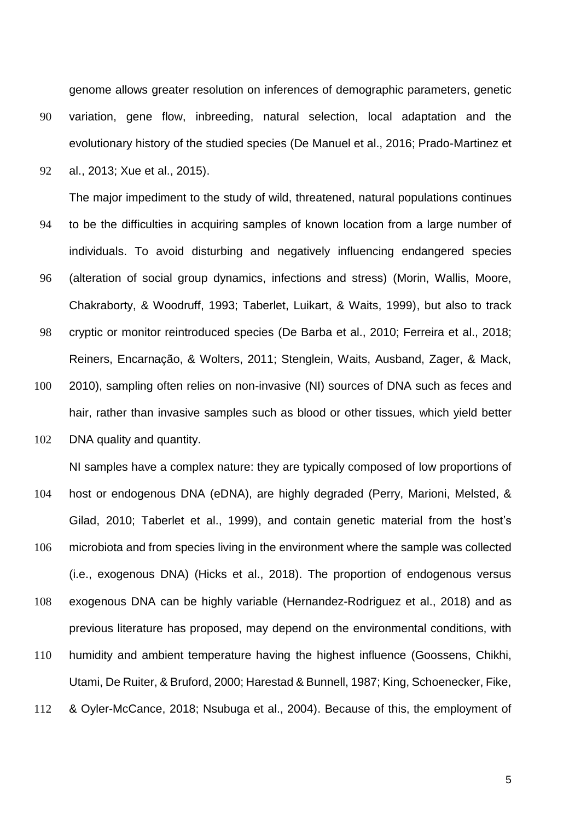genome allows greater resolution on inferences of demographic parameters, genetic

- 90 variation, gene flow, inbreeding, natural selection, local adaptation and the evolutionary history of the studied species (De Manuel et al., 2016; Prado-Martinez et
- 92 al., 2013; Xue et al., 2015).

The major impediment to the study of wild, threatened, natural populations continues

- 94 to be the difficulties in acquiring samples of known location from a large number of individuals. To avoid disturbing and negatively influencing endangered species
- 96 (alteration of social group dynamics, infections and stress) (Morin, Wallis, Moore, Chakraborty, & Woodruff, 1993; Taberlet, Luikart, & Waits, 1999), but also to track
- 98 cryptic or monitor reintroduced species (De Barba et al., 2010; Ferreira et al., 2018; Reiners, Encarnação, & Wolters, 2011; Stenglein, Waits, Ausband, Zager, & Mack,
- 100 2010), sampling often relies on non-invasive (NI) sources of DNA such as feces and hair, rather than invasive samples such as blood or other tissues, which yield better
- 102 DNA quality and quantity.

NI samples have a complex nature: they are typically composed of low proportions of

- 104 host or endogenous DNA (eDNA), are highly degraded (Perry, Marioni, Melsted, & Gilad, 2010; Taberlet et al., 1999), and contain genetic material from the host's
- 106 microbiota and from species living in the environment where the sample was collected (i.e., exogenous DNA) (Hicks et al., 2018). The proportion of endogenous versus 108 exogenous DNA can be highly variable (Hernandez-Rodriguez et al., 2018) and as previous literature has proposed, may depend on the environmental conditions, with
- 110 humidity and ambient temperature having the highest influence (Goossens, Chikhi, Utami, De Ruiter, & Bruford, 2000; Harestad & Bunnell, 1987; King, Schoenecker, Fike,
- 112 & Oyler-McCance, 2018; Nsubuga et al., 2004). Because of this, the employment of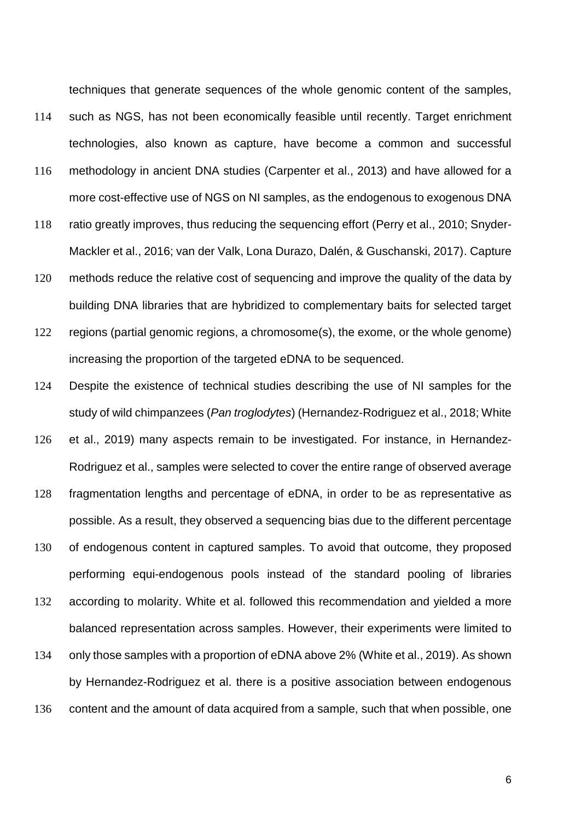techniques that generate sequences of the whole genomic content of the samples,

- 114 such as NGS, has not been economically feasible until recently. Target enrichment technologies, also known as capture, have become a common and successful
- 116 methodology in ancient DNA studies (Carpenter et al., 2013) and have allowed for a more cost-effective use of NGS on NI samples, as the endogenous to exogenous DNA
- 118 ratio greatly improves, thus reducing the sequencing effort (Perry et al., 2010; Snyder-Mackler et al., 2016; van der Valk, Lona Durazo, Dalén, & Guschanski, 2017). Capture
- 120 methods reduce the relative cost of sequencing and improve the quality of the data by building DNA libraries that are hybridized to complementary baits for selected target
- 122 regions (partial genomic regions, a chromosome(s), the exome, or the whole genome) increasing the proportion of the targeted eDNA to be sequenced.
- 124 Despite the existence of technical studies describing the use of NI samples for the study of wild chimpanzees (*Pan troglodytes*) (Hernandez-Rodriguez et al., 2018; White
- 126 et al., 2019) many aspects remain to be investigated. For instance, in Hernandez-Rodriguez et al., samples were selected to cover the entire range of observed average
- 128 fragmentation lengths and percentage of eDNA, in order to be as representative as possible. As a result, they observed a sequencing bias due to the different percentage
- 130 of endogenous content in captured samples. To avoid that outcome, they proposed performing equi-endogenous pools instead of the standard pooling of libraries
- 132 according to molarity. White et al. followed this recommendation and yielded a more balanced representation across samples. However, their experiments were limited to
- 134 only those samples with a proportion of eDNA above 2% (White et al., 2019). As shown by Hernandez-Rodriguez et al. there is a positive association between endogenous 136 content and the amount of data acquired from a sample, such that when possible, one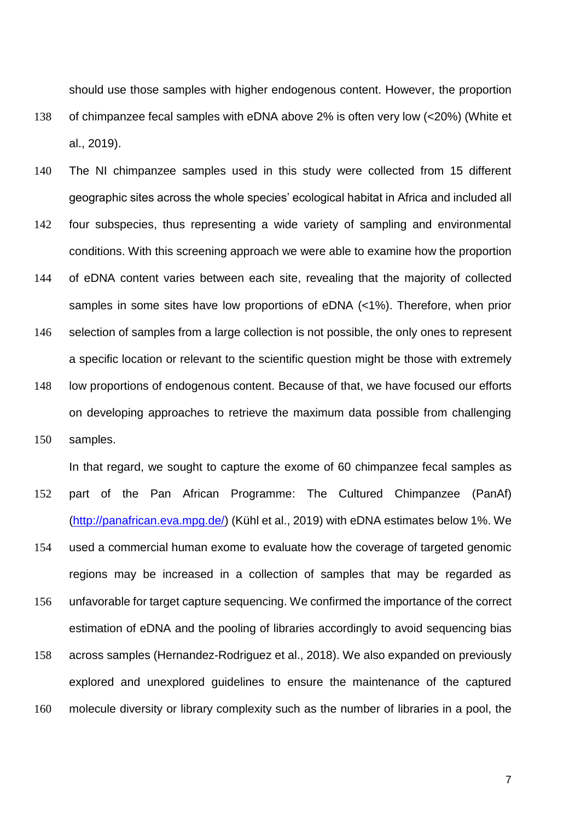should use those samples with higher endogenous content. However, the proportion 138 of chimpanzee fecal samples with eDNA above 2% is often very low (<20%) (White et al., 2019).

- 140 The NI chimpanzee samples used in this study were collected from 15 different geographic sites across the whole species' ecological habitat in Africa and included all
- 142 four subspecies, thus representing a wide variety of sampling and environmental conditions. With this screening approach we were able to examine how the proportion
- 144 of eDNA content varies between each site, revealing that the majority of collected samples in some sites have low proportions of eDNA (<1%). Therefore, when prior
- 146 selection of samples from a large collection is not possible, the only ones to represent a specific location or relevant to the scientific question might be those with extremely 148 low proportions of endogenous content. Because of that, we have focused our efforts on developing approaches to retrieve the maximum data possible from challenging
- 150 samples.

In that regard, we sought to capture the exome of 60 chimpanzee fecal samples as

- 152 part of the Pan African Programme: The Cultured Chimpanzee (PanAf) [\(http://panafrican.eva.mpg.de/\)](http://panafrican.eva.mpg.de/) (Kühl et al., 2019) with eDNA estimates below 1%. We
- 154 used a commercial human exome to evaluate how the coverage of targeted genomic regions may be increased in a collection of samples that may be regarded as
- 156 unfavorable for target capture sequencing. We confirmed the importance of the correct estimation of eDNA and the pooling of libraries accordingly to avoid sequencing bias
- 158 across samples (Hernandez-Rodriguez et al., 2018). We also expanded on previously explored and unexplored guidelines to ensure the maintenance of the captured 160 molecule diversity or library complexity such as the number of libraries in a pool, the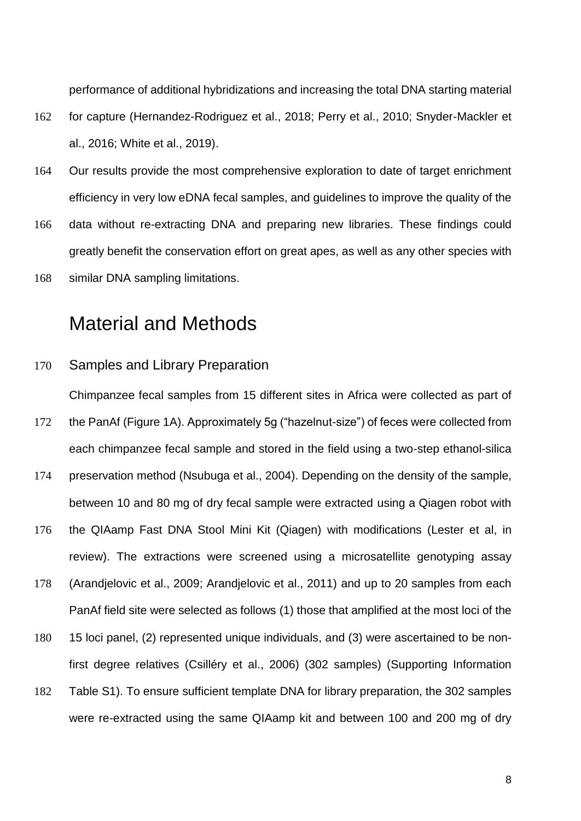performance of additional hybridizations and increasing the total DNA starting material

- 162 for capture (Hernandez-Rodriguez et al., 2018; Perry et al., 2010; Snyder-Mackler et al., 2016; White et al., 2019).
- 164 Our results provide the most comprehensive exploration to date of target enrichment efficiency in very low eDNA fecal samples, and guidelines to improve the quality of the
- 166 data without re-extracting DNA and preparing new libraries. These findings could greatly benefit the conservation effort on great apes, as well as any other species with
- 168 similar DNA sampling limitations.

# Material and Methods

#### 170 Samples and Library Preparation

Chimpanzee fecal samples from 15 different sites in Africa were collected as part of

- 172 the PanAf (Figure 1A). Approximately 5g ("hazelnut-size") of feces were collected from each chimpanzee fecal sample and stored in the field using a two-step ethanol-silica
- 174 preservation method (Nsubuga et al., 2004). Depending on the density of the sample, between 10 and 80 mg of dry fecal sample were extracted using a Qiagen robot with
- 176 the QIAamp Fast DNA Stool Mini Kit (Qiagen) with modifications (Lester et al, in review). The extractions were screened using a microsatellite genotyping assay
- 178 (Arandjelovic et al., 2009; Arandjelovic et al., 2011) and up to 20 samples from each PanAf field site were selected as follows (1) those that amplified at the most loci of the
- 180 15 loci panel, (2) represented unique individuals, and (3) were ascertained to be nonfirst degree relatives (Csilléry et al., 2006) (302 samples) (Supporting Information
- 182 Table S1). To ensure sufficient template DNA for library preparation, the 302 samples were re-extracted using the same QIAamp kit and between 100 and 200 mg of dry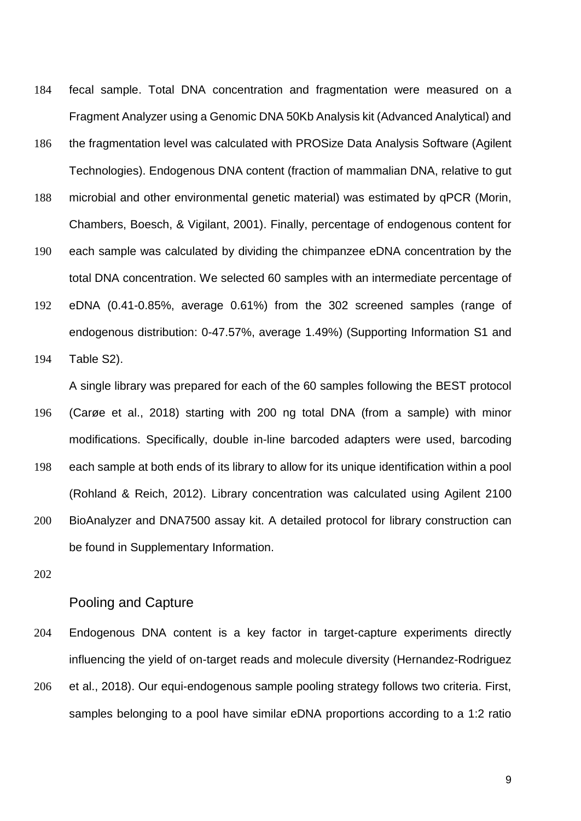- 184 fecal sample. Total DNA concentration and fragmentation were measured on a Fragment Analyzer using a Genomic DNA 50Kb Analysis kit (Advanced Analytical) and
- 186 the fragmentation level was calculated with PROSize Data Analysis Software (Agilent Technologies). Endogenous DNA content (fraction of mammalian DNA, relative to gut
- 188 microbial and other environmental genetic material) was estimated by qPCR (Morin, Chambers, Boesch, & Vigilant, 2001). Finally, percentage of endogenous content for
- 190 each sample was calculated by dividing the chimpanzee eDNA concentration by the total DNA concentration. We selected 60 samples with an intermediate percentage of
- 192 eDNA (0.41-0.85%, average 0.61%) from the 302 screened samples (range of endogenous distribution: 0-47.57%, average 1.49%) (Supporting Information S1 and
- 194 Table S2).

A single library was prepared for each of the 60 samples following the BEST protocol

- 196 (Carøe et al., 2018) starting with 200 ng total DNA (from a sample) with minor modifications. Specifically, double in-line barcoded adapters were used, barcoding
- 198 each sample at both ends of its library to allow for its unique identification within a pool (Rohland & Reich, 2012). Library concentration was calculated using Agilent 2100 200 BioAnalyzer and DNA7500 assay kit. A detailed protocol for library construction can be found in Supplementary Information.
- 202

#### Pooling and Capture

- 204 Endogenous DNA content is a key factor in target-capture experiments directly influencing the yield of on-target reads and molecule diversity (Hernandez-Rodriguez
- 206 et al., 2018). Our equi-endogenous sample pooling strategy follows two criteria. First, samples belonging to a pool have similar eDNA proportions according to a 1:2 ratio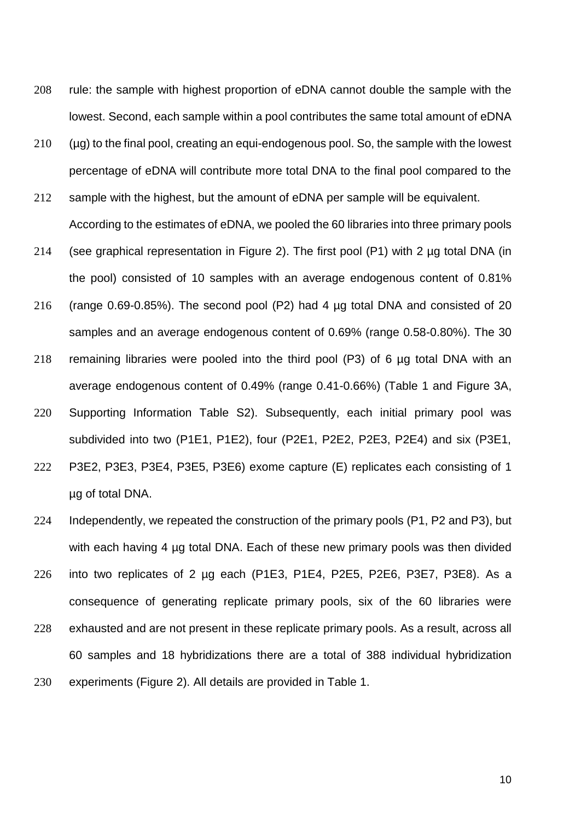- 208 rule: the sample with highest proportion of eDNA cannot double the sample with the lowest. Second, each sample within a pool contributes the same total amount of eDNA
- 210 (µg) to the final pool, creating an equi-endogenous pool. So, the sample with the lowest percentage of eDNA will contribute more total DNA to the final pool compared to the
- 212 sample with the highest, but the amount of eDNA per sample will be equivalent. According to the estimates of eDNA, we pooled the 60 libraries into three primary pools
- 214 (see graphical representation in Figure 2). The first pool (P1) with 2 ug total DNA (in the pool) consisted of 10 samples with an average endogenous content of 0.81%
- 216 (range 0.69-0.85%). The second pool (P2) had 4 µg total DNA and consisted of 20 samples and an average endogenous content of 0.69% (range 0.58-0.80%). The 30
- 218 remaining libraries were pooled into the third pool (P3) of 6 µg total DNA with an average endogenous content of 0.49% (range 0.41-0.66%) (Table 1 and Figure 3A,
- 220 Supporting Information Table S2). Subsequently, each initial primary pool was subdivided into two (P1E1, P1E2), four (P2E1, P2E2, P2E3, P2E4) and six (P3E1,
- 222 P3E2, P3E3, P3E4, P3E5, P3E6) exome capture (E) replicates each consisting of 1 µg of total DNA.
- 224 Independently, we repeated the construction of the primary pools (P1, P2 and P3), but with each having 4 µg total DNA. Each of these new primary pools was then divided 226 into two replicates of 2 µg each (P1E3, P1E4, P2E5, P2E6, P3E7, P3E8). As a
- consequence of generating replicate primary pools, six of the 60 libraries were 228 exhausted and are not present in these replicate primary pools. As a result, across all
- 60 samples and 18 hybridizations there are a total of 388 individual hybridization
- 230 experiments (Figure 2). All details are provided in Table 1.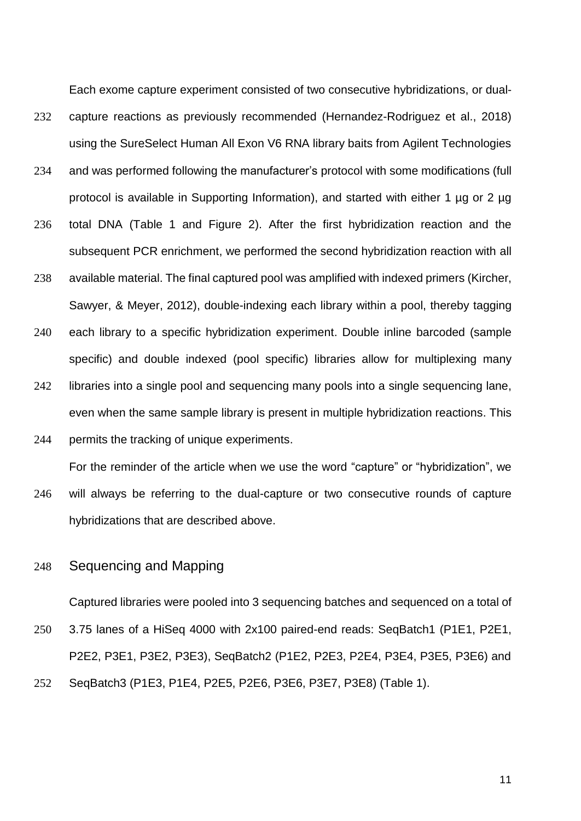Each exome capture experiment consisted of two consecutive hybridizations, or dual-232 capture reactions as previously recommended (Hernandez-Rodriguez et al., 2018) using the SureSelect Human All Exon V6 RNA library baits from Agilent Technologies

- 234 and was performed following the manufacturer's protocol with some modifications (full protocol is available in Supporting Information), and started with either 1 µg or 2 µg
- 236 total DNA (Table 1 and Figure 2). After the first hybridization reaction and the subsequent PCR enrichment, we performed the second hybridization reaction with all
- 238 available material. The final captured pool was amplified with indexed primers (Kircher, Sawyer, & Meyer, 2012), double-indexing each library within a pool, thereby tagging
- 240 each library to a specific hybridization experiment. Double inline barcoded (sample specific) and double indexed (pool specific) libraries allow for multiplexing many
- 242 libraries into a single pool and sequencing many pools into a single sequencing lane, even when the same sample library is present in multiple hybridization reactions. This
- 244 permits the tracking of unique experiments.

For the reminder of the article when we use the word "capture" or "hybridization", we

- 246 will always be referring to the dual-capture or two consecutive rounds of capture hybridizations that are described above.
- 248 Sequencing and Mapping

Captured libraries were pooled into 3 sequencing batches and sequenced on a total of

250 3.75 lanes of a HiSeq 4000 with 2x100 paired-end reads: SeqBatch1 (P1E1, P2E1, P2E2, P3E1, P3E2, P3E3), SeqBatch2 (P1E2, P2E3, P2E4, P3E4, P3E5, P3E6) and 252 SeqBatch3 (P1E3, P1E4, P2E5, P2E6, P3E6, P3E7, P3E8) (Table 1).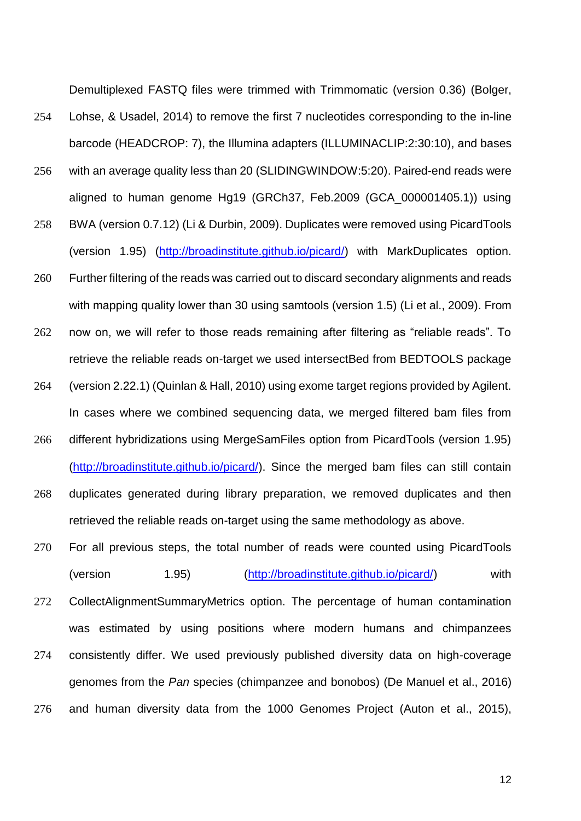Demultiplexed FASTQ files were trimmed with Trimmomatic (version 0.36) (Bolger,

- 254 Lohse, & Usadel, 2014) to remove the first 7 nucleotides corresponding to the in-line barcode (HEADCROP: 7), the Illumina adapters (ILLUMINACLIP:2:30:10), and bases
- 256 with an average quality less than 20 (SLIDINGWINDOW:5:20). Paired-end reads were aligned to human genome Hg19 (GRCh37, Feb.2009 (GCA\_000001405.1)) using
- 258 BWA (version 0.7.12) (Li & Durbin, 2009). Duplicates were removed using PicardTools (version 1.95) [\(http://broadinstitute.github.io/picard/\)](http://broadinstitute.github.io/picard/) with MarkDuplicates option.
- 260 Further filtering of the reads was carried out to discard secondary alignments and reads with mapping quality lower than 30 using samtools (version 1.5) (Li et al., 2009). From
- 262 now on, we will refer to those reads remaining after filtering as "reliable reads". To retrieve the reliable reads on-target we used intersectBed from BEDTOOLS package
- 264 (version 2.22.1) (Quinlan & Hall, 2010) using exome target regions provided by Agilent. In cases where we combined sequencing data, we merged filtered bam files from
- 266 different hybridizations using MergeSamFiles option from PicardTools (version 1.95) [\(http://broadinstitute.github.io/picard/\)](http://broadinstitute.github.io/picard/). Since the merged bam files can still contain
- 268 duplicates generated during library preparation, we removed duplicates and then retrieved the reliable reads on-target using the same methodology as above.
- 270 For all previous steps, the total number of reads were counted using PicardTools (version 1.95) [\(http://broadinstitute.github.io/picard/\)](http://broadinstitute.github.io/picard/) with 272 CollectAlignmentSummaryMetrics option. The percentage of human contamination was estimated by using positions where modern humans and chimpanzees 274 consistently differ. We used previously published diversity data on high-coverage genomes from the *Pan* species (chimpanzee and bonobos) (De Manuel et al., 2016) 276 and human diversity data from the 1000 Genomes Project (Auton et al., 2015),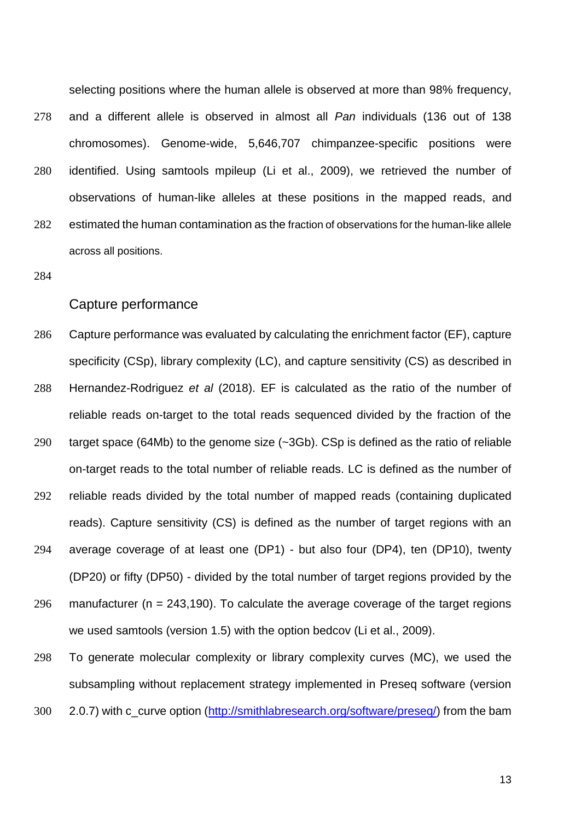selecting positions where the human allele is observed at more than 98% frequency,

- 278 and a different allele is observed in almost all *Pan* individuals (136 out of 138 chromosomes). Genome-wide, 5,646,707 chimpanzee-specific positions were
- 280 identified. Using samtools mpileup (Li et al., 2009), we retrieved the number of observations of human-like alleles at these positions in the mapped reads, and
- 282 estimated the human contamination as the fraction of observations for the human-like allele across all positions.
- 284

#### Capture performance

- 286 Capture performance was evaluated by calculating the enrichment factor (EF), capture specificity (CSp), library complexity (LC), and capture sensitivity (CS) as described in
- 288 Hernandez-Rodriguez *et al* (2018). EF is calculated as the ratio of the number of reliable reads on-target to the total reads sequenced divided by the fraction of the
- 290 target space (64Mb) to the genome size (~3Gb). CSp is defined as the ratio of reliable on-target reads to the total number of reliable reads. LC is defined as the number of
- 292 reliable reads divided by the total number of mapped reads (containing duplicated reads). Capture sensitivity (CS) is defined as the number of target regions with an
- 294 average coverage of at least one (DP1) but also four (DP4), ten (DP10), twenty (DP20) or fifty (DP50) - divided by the total number of target regions provided by the
- 296 manufacturer ( $n = 243,190$ ). To calculate the average coverage of the target regions we used samtools (version 1.5) with the option bedcov (Li et al., 2009).

298 To generate molecular complexity or library complexity curves (MC), we used the subsampling without replacement strategy implemented in Preseq software (version 300 2.0.7) with c\_curve option [\(http://smithlabresearch.org/software/preseq/\)](http://smithlabresearch.org/software/preseq/) from the bam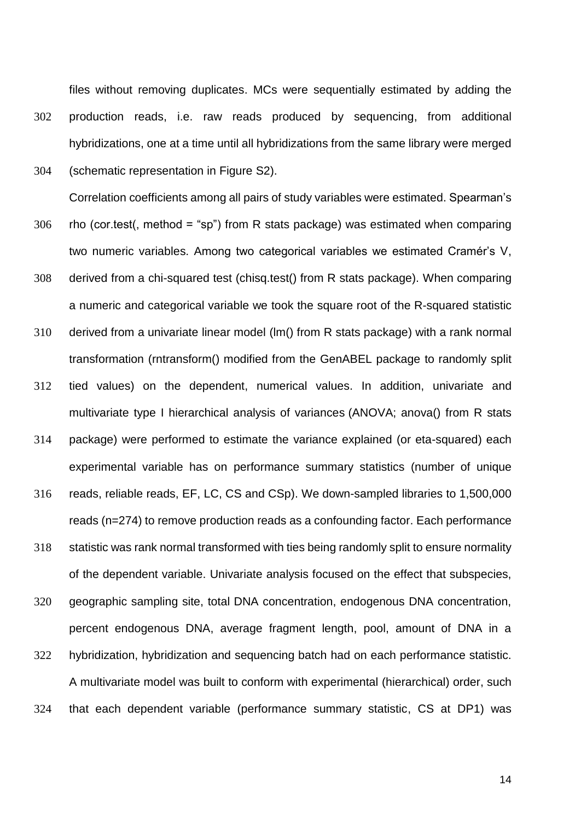files without removing duplicates. MCs were sequentially estimated by adding the 302 production reads, i.e. raw reads produced by sequencing, from additional hybridizations, one at a time until all hybridizations from the same library were merged 304 (schematic representation in Figure S2).

Correlation coefficients among all pairs of study variables were estimated. Spearman's

- $306$  rho (cor.test(, method = "sp") from R stats package) was estimated when comparing two numeric variables. Among two categorical variables we estimated Cramér's V,
- 308 derived from a chi-squared test (chisq.test() from R stats package). When comparing a numeric and categorical variable we took the square root of the R-squared statistic
- 310 derived from a univariate linear model (lm() from R stats package) with a rank normal transformation (rntransform() modified from the GenABEL package to randomly split 312 tied values) on the dependent, numerical values. In addition, univariate and
- multivariate type I hierarchical analysis of variances (ANOVA; anova() from R stats
- 314 package) were performed to estimate the variance explained (or eta-squared) each experimental variable has on performance summary statistics (number of unique
- 316 reads, reliable reads, EF, LC, CS and CSp). We down-sampled libraries to 1,500,000 reads (n=274) to remove production reads as a confounding factor. Each performance
- 318 statistic was rank normal transformed with ties being randomly split to ensure normality of the dependent variable. Univariate analysis focused on the effect that subspecies,

320 geographic sampling site, total DNA concentration, endogenous DNA concentration, percent endogenous DNA, average fragment length, pool, amount of DNA in a 322 hybridization, hybridization and sequencing batch had on each performance statistic. A multivariate model was built to conform with experimental (hierarchical) order, such 324 that each dependent variable (performance summary statistic, CS at DP1) was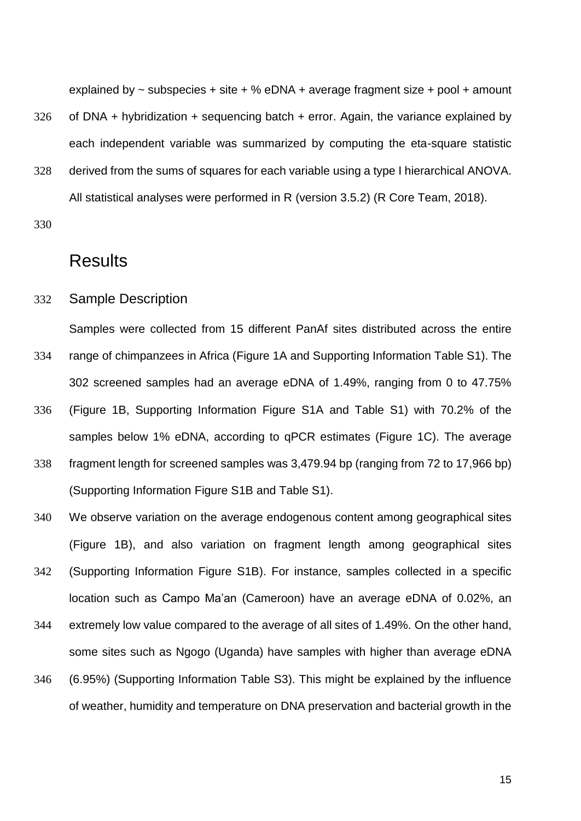explained by  $\sim$  subspecies + site + % eDNA + average fragment size + pool + amount

- $326$  of DNA + hybridization + sequencing batch + error. Again, the variance explained by each independent variable was summarized by computing the eta-square statistic
- 328 derived from the sums of squares for each variable using a type I hierarchical ANOVA. All statistical analyses were performed in R (version 3.5.2) (R Core Team, 2018).

330

### **Results**

332 Sample Description

Samples were collected from 15 different PanAf sites distributed across the entire

- 334 range of chimpanzees in Africa (Figure 1A and Supporting Information Table S1). The 302 screened samples had an average eDNA of 1.49%, ranging from 0 to 47.75%
- 336 (Figure 1B, Supporting Information Figure S1A and Table S1) with 70.2% of the samples below 1% eDNA, according to qPCR estimates (Figure 1C). The average
- 338 fragment length for screened samples was 3,479.94 bp (ranging from 72 to 17,966 bp) (Supporting Information Figure S1B and Table S1).
- 340 We observe variation on the average endogenous content among geographical sites (Figure 1B), and also variation on fragment length among geographical sites
- 342 (Supporting Information Figure S1B). For instance, samples collected in a specific location such as Campo Ma'an (Cameroon) have an average eDNA of 0.02%, an
- 344 extremely low value compared to the average of all sites of 1.49%. On the other hand, some sites such as Ngogo (Uganda) have samples with higher than average eDNA
- 346 (6.95%) (Supporting Information Table S3). This might be explained by the influence of weather, humidity and temperature on DNA preservation and bacterial growth in the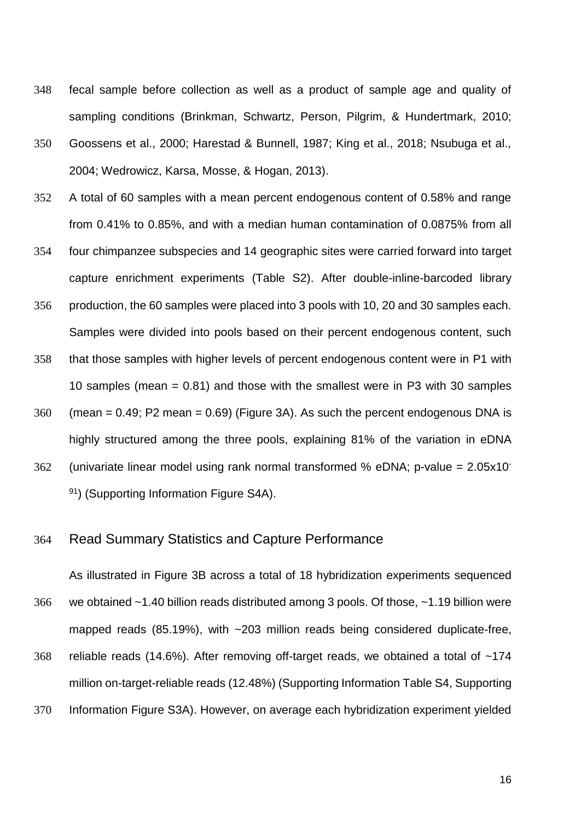- 348 fecal sample before collection as well as a product of sample age and quality of sampling conditions (Brinkman, Schwartz, Person, Pilgrim, & Hundertmark, 2010;
- 350 Goossens et al., 2000; Harestad & Bunnell, 1987; King et al., 2018; Nsubuga et al., 2004; Wedrowicz, Karsa, Mosse, & Hogan, 2013).
- 352 A total of 60 samples with a mean percent endogenous content of 0.58% and range from 0.41% to 0.85%, and with a median human contamination of 0.0875% from all
- 354 four chimpanzee subspecies and 14 geographic sites were carried forward into target capture enrichment experiments (Table S2). After double-inline-barcoded library
- 356 production, the 60 samples were placed into 3 pools with 10, 20 and 30 samples each. Samples were divided into pools based on their percent endogenous content, such
- 358 that those samples with higher levels of percent endogenous content were in P1 with 10 samples (mean = 0.81) and those with the smallest were in P3 with 30 samples
- $360$  (mean = 0.49; P2 mean = 0.69) (Figure 3A). As such the percent endogenous DNA is highly structured among the three pools, explaining 81% of the variation in eDNA
- $362$  (univariate linear model using rank normal transformed % eDNA; p-value = 2.05x10 91) (Supporting Information Figure S4A).

#### 364 Read Summary Statistics and Capture Performance

As illustrated in Figure 3B across a total of 18 hybridization experiments sequenced 366 we obtained ~1.40 billion reads distributed among 3 pools. Of those, ~1.19 billion were mapped reads (85.19%), with ~203 million reads being considered duplicate-free, 368 reliable reads (14.6%). After removing off-target reads, we obtained a total of ~174 million on-target-reliable reads (12.48%) (Supporting Information Table S4, Supporting 370 Information Figure S3A). However, on average each hybridization experiment yielded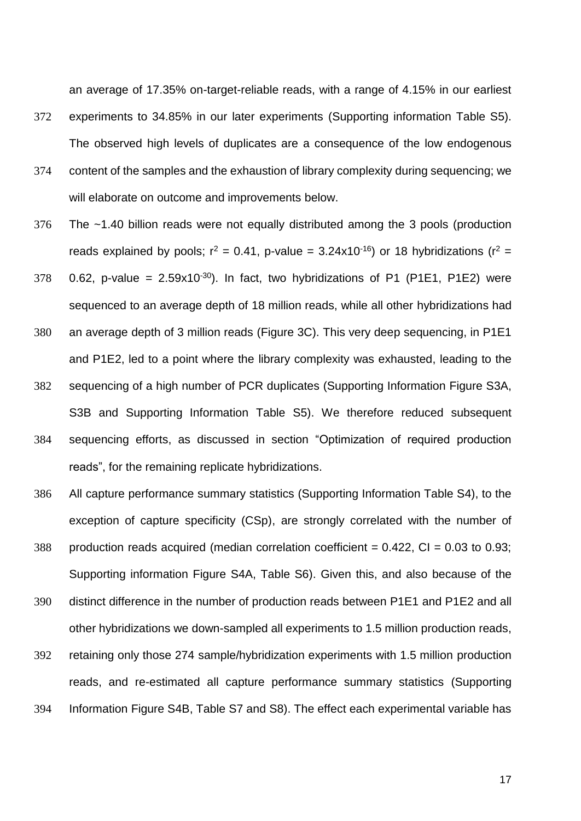an average of 17.35% on-target-reliable reads, with a range of 4.15% in our earliest

- 372 experiments to 34.85% in our later experiments (Supporting information Table S5). The observed high levels of duplicates are a consequence of the low endogenous
- 374 content of the samples and the exhaustion of library complexity during sequencing; we will elaborate on outcome and improvements below.
- 376 The ~1.40 billion reads were not equally distributed among the 3 pools (production reads explained by pools;  $r^2 = 0.41$ , p-value = 3.24x10<sup>-16</sup>) or 18 hybridizations ( $r^2 =$
- 378 0.62, p-value =  $2.59x10^{-30}$ ). In fact, two hybridizations of P1 (P1E1, P1E2) were sequenced to an average depth of 18 million reads, while all other hybridizations had
- 380 an average depth of 3 million reads (Figure 3C). This very deep sequencing, in P1E1 and P1E2, led to a point where the library complexity was exhausted, leading to the 382 sequencing of a high number of PCR duplicates (Supporting Information Figure S3A, S3B and Supporting Information Table S5). We therefore reduced subsequent 384 sequencing efforts, as discussed in section "Optimization of required production reads", for the remaining replicate hybridizations.
- 386 All capture performance summary statistics (Supporting Information Table S4), to the exception of capture specificity (CSp), are strongly correlated with the number of
- 388 production reads acquired (median correlation coefficient  $= 0.422$ , CI  $= 0.03$  to 0.93; Supporting information Figure S4A, Table S6). Given this, and also because of the
- 390 distinct difference in the number of production reads between P1E1 and P1E2 and all other hybridizations we down-sampled all experiments to 1.5 million production reads,
- 392 retaining only those 274 sample/hybridization experiments with 1.5 million production reads, and re-estimated all capture performance summary statistics (Supporting 394 Information Figure S4B, Table S7 and S8). The effect each experimental variable has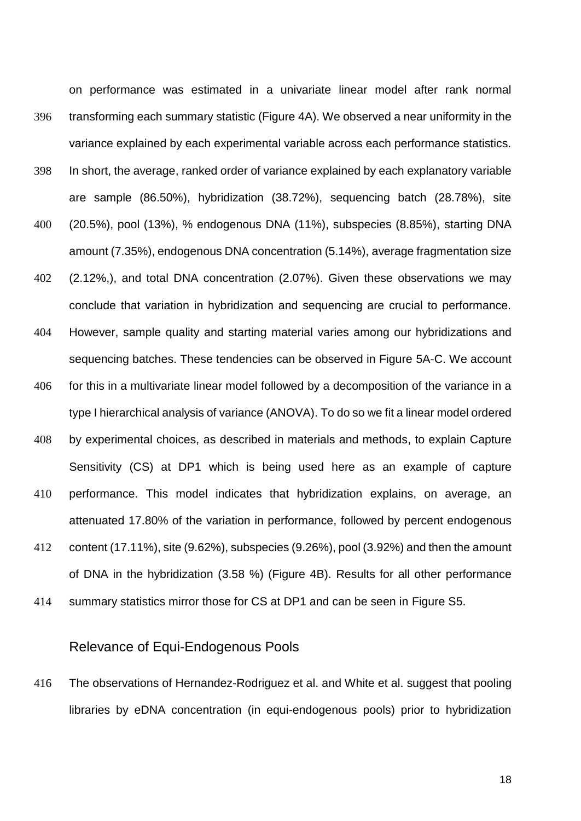on performance was estimated in a univariate linear model after rank normal 396 transforming each summary statistic (Figure 4A). We observed a near uniformity in the variance explained by each experimental variable across each performance statistics. 398 In short, the average, ranked order of variance explained by each explanatory variable are sample (86.50%), hybridization (38.72%), sequencing batch (28.78%), site 400 (20.5%), pool (13%), % endogenous DNA (11%), subspecies (8.85%), starting DNA amount (7.35%), endogenous DNA concentration (5.14%), average fragmentation size 402 (2.12%,), and total DNA concentration (2.07%). Given these observations we may conclude that variation in hybridization and sequencing are crucial to performance. 404 However, sample quality and starting material varies among our hybridizations and sequencing batches. These tendencies can be observed in Figure 5A-C. We account 406 for this in a multivariate linear model followed by a decomposition of the variance in a type I hierarchical analysis of variance (ANOVA). To do so we fit a linear model ordered 408 by experimental choices, as described in materials and methods, to explain Capture Sensitivity (CS) at DP1 which is being used here as an example of capture 410 performance. This model indicates that hybridization explains, on average, an attenuated 17.80% of the variation in performance, followed by percent endogenous

- 412 content (17.11%), site (9.62%), subspecies (9.26%), pool (3.92%) and then the amount of DNA in the hybridization (3.58 %) (Figure 4B). Results for all other performance
- 414 summary statistics mirror those for CS at DP1 and can be seen in Figure S5.

#### Relevance of Equi-Endogenous Pools

416 The observations of Hernandez-Rodriguez et al. and White et al. suggest that pooling libraries by eDNA concentration (in equi-endogenous pools) prior to hybridization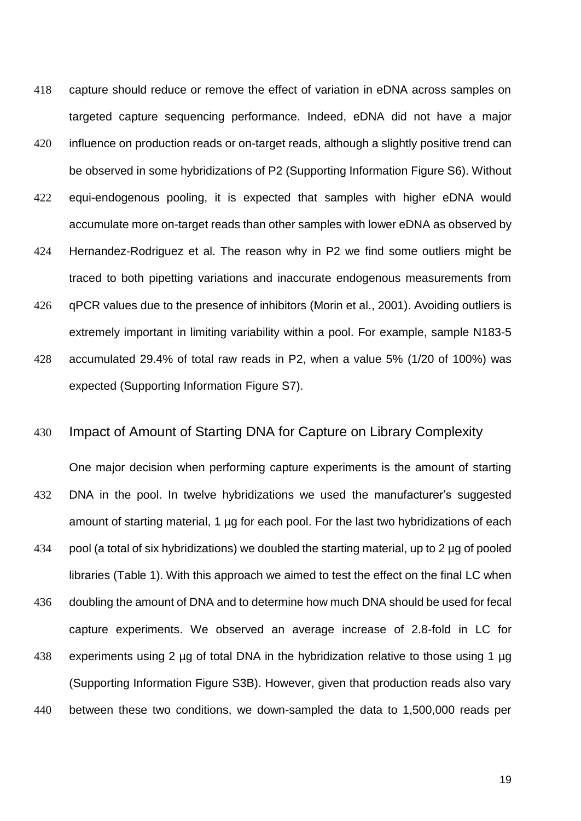- 418 capture should reduce or remove the effect of variation in eDNA across samples on targeted capture sequencing performance. Indeed, eDNA did not have a major
- 420 influence on production reads or on-target reads, although a slightly positive trend can be observed in some hybridizations of P2 (Supporting Information Figure S6). Without
- 422 equi-endogenous pooling, it is expected that samples with higher eDNA would accumulate more on-target reads than other samples with lower eDNA as observed by
- 424 Hernandez-Rodriguez et al. The reason why in P2 we find some outliers might be traced to both pipetting variations and inaccurate endogenous measurements from
- 426 qPCR values due to the presence of inhibitors (Morin et al., 2001). Avoiding outliers is extremely important in limiting variability within a pool. For example, sample N183-5
- 428 accumulated 29.4% of total raw reads in P2, when a value 5% (1/20 of 100%) was expected (Supporting Information Figure S7).

#### 430 Impact of Amount of Starting DNA for Capture on Library Complexity

One major decision when performing capture experiments is the amount of starting 432 DNA in the pool. In twelve hybridizations we used the manufacturer's suggested amount of starting material, 1 µg for each pool. For the last two hybridizations of each 434 pool (a total of six hybridizations) we doubled the starting material, up to 2 µg of pooled libraries (Table 1). With this approach we aimed to test the effect on the final LC when 436 doubling the amount of DNA and to determine how much DNA should be used for fecal capture experiments. We observed an average increase of 2.8-fold in LC for 438 experiments using 2 µg of total DNA in the hybridization relative to those using 1 µg (Supporting Information Figure S3B). However, given that production reads also vary 440 between these two conditions, we down-sampled the data to 1,500,000 reads per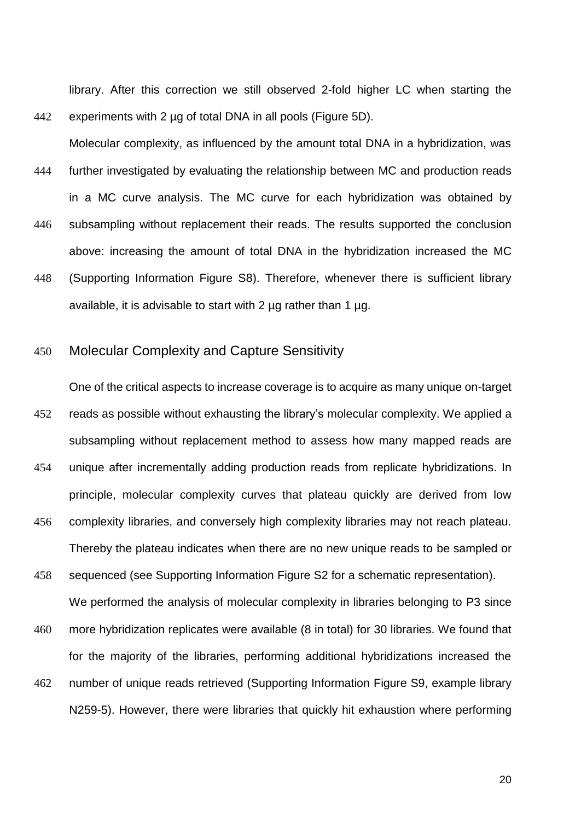library. After this correction we still observed 2-fold higher LC when starting the 442 experiments with 2 µg of total DNA in all pools (Figure 5D).

Molecular complexity, as influenced by the amount total DNA in a hybridization, was 444 further investigated by evaluating the relationship between MC and production reads in a MC curve analysis. The MC curve for each hybridization was obtained by 446 subsampling without replacement their reads. The results supported the conclusion above: increasing the amount of total DNA in the hybridization increased the MC 448 (Supporting Information Figure S8). Therefore, whenever there is sufficient library

available, it is advisable to start with 2 ug rather than 1 ug.

#### 450 Molecular Complexity and Capture Sensitivity

One of the critical aspects to increase coverage is to acquire as many unique on-target 452 reads as possible without exhausting the library's molecular complexity. We applied a subsampling without replacement method to assess how many mapped reads are 454 unique after incrementally adding production reads from replicate hybridizations. In principle, molecular complexity curves that plateau quickly are derived from low 456 complexity libraries, and conversely high complexity libraries may not reach plateau. Thereby the plateau indicates when there are no new unique reads to be sampled or

458 sequenced (see Supporting Information Figure S2 for a schematic representation). We performed the analysis of molecular complexity in libraries belonging to P3 since

460 more hybridization replicates were available (8 in total) for 30 libraries. We found that for the majority of the libraries, performing additional hybridizations increased the

462 number of unique reads retrieved (Supporting Information Figure S9, example library N259-5). However, there were libraries that quickly hit exhaustion where performing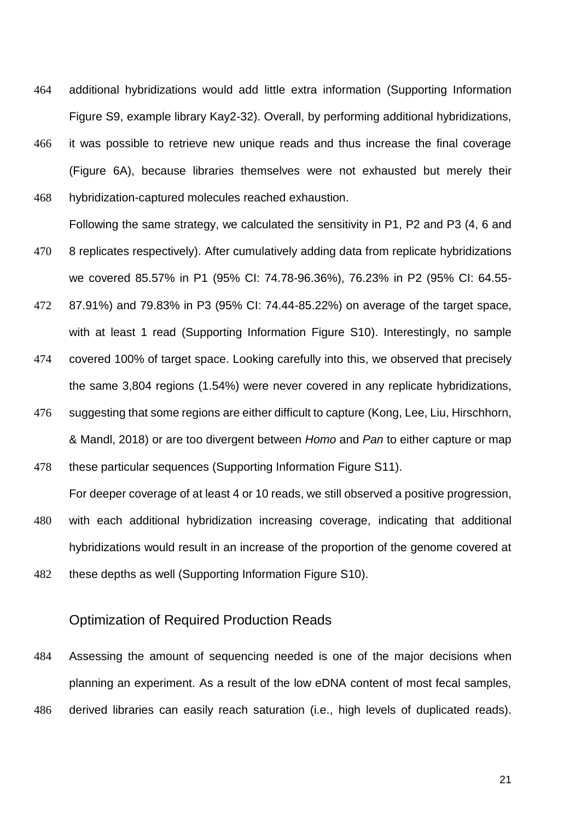- 464 additional hybridizations would add little extra information (Supporting Information Figure S9, example library Kay2-32). Overall, by performing additional hybridizations,
- 466 it was possible to retrieve new unique reads and thus increase the final coverage (Figure 6A), because libraries themselves were not exhausted but merely their 468 hybridization-captured molecules reached exhaustion.

Following the same strategy, we calculated the sensitivity in P1, P2 and P3 (4, 6 and 470 8 replicates respectively). After cumulatively adding data from replicate hybridizations

- we covered 85.57% in P1 (95% CI: 74.78-96.36%), 76.23% in P2 (95% CI: 64.55-
- 472 87.91%) and 79.83% in P3 (95% CI: 74.44-85.22%) on average of the target space, with at least 1 read (Supporting Information Figure S10). Interestingly, no sample
- 474 covered 100% of target space. Looking carefully into this, we observed that precisely the same 3,804 regions (1.54%) were never covered in any replicate hybridizations,
- 476 suggesting that some regions are either difficult to capture (Kong, Lee, Liu, Hirschhorn, & Mandl, 2018) or are too divergent between *Homo* and *Pan* to either capture or map
- 478 these particular sequences (Supporting Information Figure S11).

For deeper coverage of at least 4 or 10 reads, we still observed a positive progression,

- 480 with each additional hybridization increasing coverage, indicating that additional hybridizations would result in an increase of the proportion of the genome covered at
- 482 these depths as well (Supporting Information Figure S10).

#### Optimization of Required Production Reads

484 Assessing the amount of sequencing needed is one of the major decisions when planning an experiment. As a result of the low eDNA content of most fecal samples, 486 derived libraries can easily reach saturation (i.e., high levels of duplicated reads).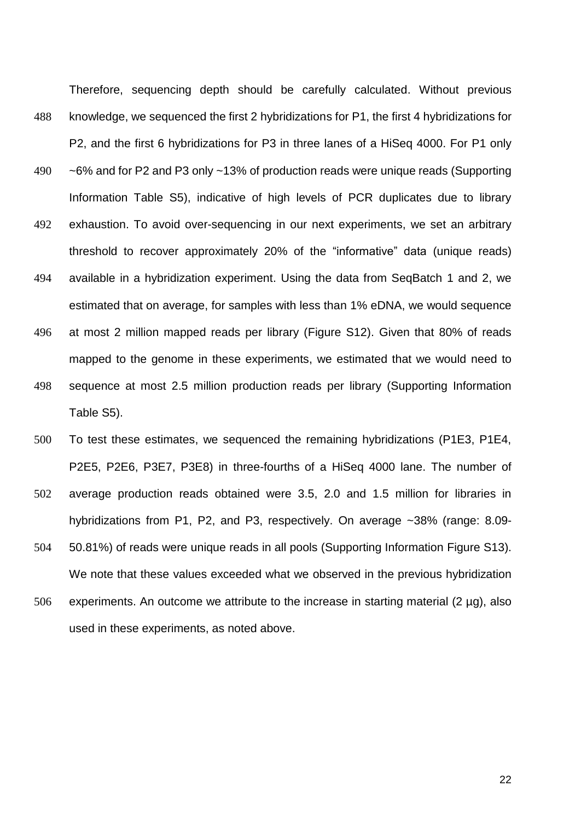Therefore, sequencing depth should be carefully calculated. Without previous 488 knowledge, we sequenced the first 2 hybridizations for P1, the first 4 hybridizations for P2, and the first 6 hybridizations for P3 in three lanes of a HiSeq 4000. For P1 only 490 ~6% and for P2 and P3 only ~13% of production reads were unique reads (Supporting Information Table S5), indicative of high levels of PCR duplicates due to library 492 exhaustion. To avoid over-sequencing in our next experiments, we set an arbitrary threshold to recover approximately 20% of the "informative" data (unique reads) 494 available in a hybridization experiment. Using the data from SeqBatch 1 and 2, we estimated that on average, for samples with less than 1% eDNA, we would sequence 496 at most 2 million mapped reads per library (Figure S12). Given that 80% of reads mapped to the genome in these experiments, we estimated that we would need to 498 sequence at most 2.5 million production reads per library (Supporting Information Table S5).

- 500 To test these estimates, we sequenced the remaining hybridizations (P1E3, P1E4, P2E5, P2E6, P3E7, P3E8) in three-fourths of a HiSeq 4000 lane. The number of
- 502 average production reads obtained were 3.5, 2.0 and 1.5 million for libraries in hybridizations from P1, P2, and P3, respectively. On average ~38% (range: 8.09-
- 504 50.81%) of reads were unique reads in all pools (Supporting Information Figure S13). We note that these values exceeded what we observed in the previous hybridization
- 506 experiments. An outcome we attribute to the increase in starting material  $(2 \mu g)$ , also used in these experiments, as noted above.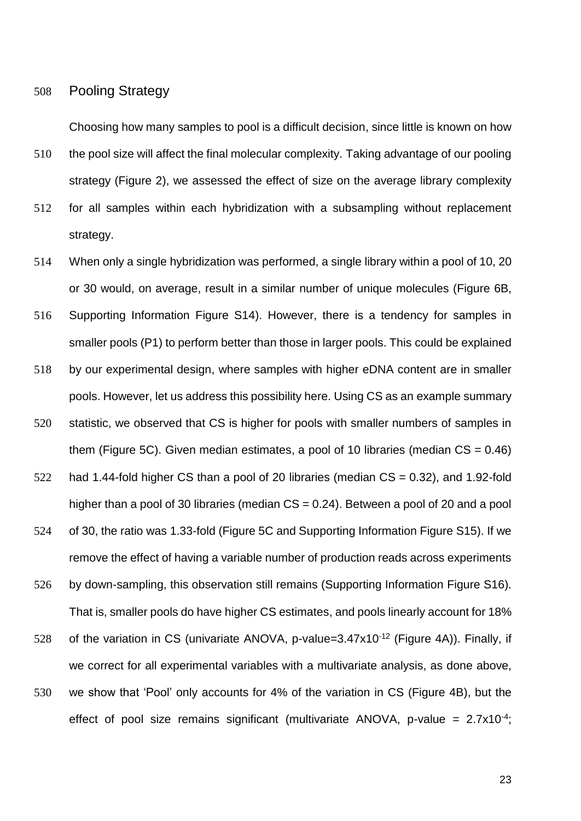508 Pooling Strategy

Choosing how many samples to pool is a difficult decision, since little is known on how

510 the pool size will affect the final molecular complexity. Taking advantage of our pooling strategy (Figure 2), we assessed the effect of size on the average library complexity

- 512 for all samples within each hybridization with a subsampling without replacement strategy.
- 514 When only a single hybridization was performed, a single library within a pool of 10, 20 or 30 would, on average, result in a similar number of unique molecules (Figure 6B, 516 Supporting Information Figure S14). However, there is a tendency for samples in smaller pools (P1) to perform better than those in larger pools. This could be explained 518 by our experimental design, where samples with higher eDNA content are in smaller pools. However, let us address this possibility here. Using CS as an example summary 520 statistic, we observed that CS is higher for pools with smaller numbers of samples in them (Figure 5C). Given median estimates, a pool of 10 libraries (median  $CS = 0.46$ ) 522 had 1.44-fold higher CS than a pool of 20 libraries (median CS = 0.32), and 1.92-fold higher than a pool of 30 libraries (median CS = 0.24). Between a pool of 20 and a pool 524 of 30, the ratio was 1.33-fold (Figure 5C and Supporting Information Figure S15). If we remove the effect of having a variable number of production reads across experiments 526 by down-sampling, this observation still remains (Supporting Information Figure S16). That is, smaller pools do have higher CS estimates, and pools linearly account for 18% 528 of the variation in CS (univariate ANOVA, p-value= $3.47x10^{-12}$  (Figure 4A)). Finally, if we correct for all experimental variables with a multivariate analysis, as done above, 530 we show that 'Pool' only accounts for 4% of the variation in CS (Figure 4B), but the effect of pool size remains significant (multivariate ANOVA, p-value =  $2.7 \times 10^{-4}$ ;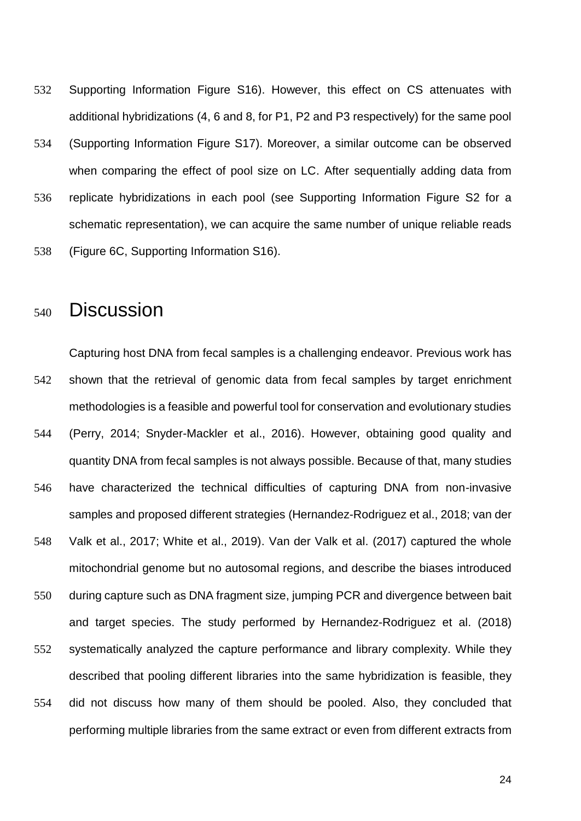- 532 Supporting Information Figure S16). However, this effect on CS attenuates with additional hybridizations (4, 6 and 8, for P1, P2 and P3 respectively) for the same pool
- 534 (Supporting Information Figure S17). Moreover, a similar outcome can be observed when comparing the effect of pool size on LC. After sequentially adding data from
- 536 replicate hybridizations in each pool (see Supporting Information Figure S2 for a schematic representation), we can acquire the same number of unique reliable reads
- 538 (Figure 6C, Supporting Information S16).

# <sup>540</sup> Discussion

Capturing host DNA from fecal samples is a challenging endeavor. Previous work has 542 shown that the retrieval of genomic data from fecal samples by target enrichment methodologies is a feasible and powerful tool for conservation and evolutionary studies 544 (Perry, 2014; Snyder-Mackler et al., 2016). However, obtaining good quality and quantity DNA from fecal samples is not always possible. Because of that, many studies 546 have characterized the technical difficulties of capturing DNA from non-invasive samples and proposed different strategies (Hernandez-Rodriguez et al., 2018; van der 548 Valk et al., 2017; White et al., 2019). Van der Valk et al. (2017) captured the whole mitochondrial genome but no autosomal regions, and describe the biases introduced 550 during capture such as DNA fragment size, jumping PCR and divergence between bait and target species. The study performed by Hernandez-Rodriguez et al. (2018) 552 systematically analyzed the capture performance and library complexity. While they described that pooling different libraries into the same hybridization is feasible, they 554 did not discuss how many of them should be pooled. Also, they concluded that performing multiple libraries from the same extract or even from different extracts from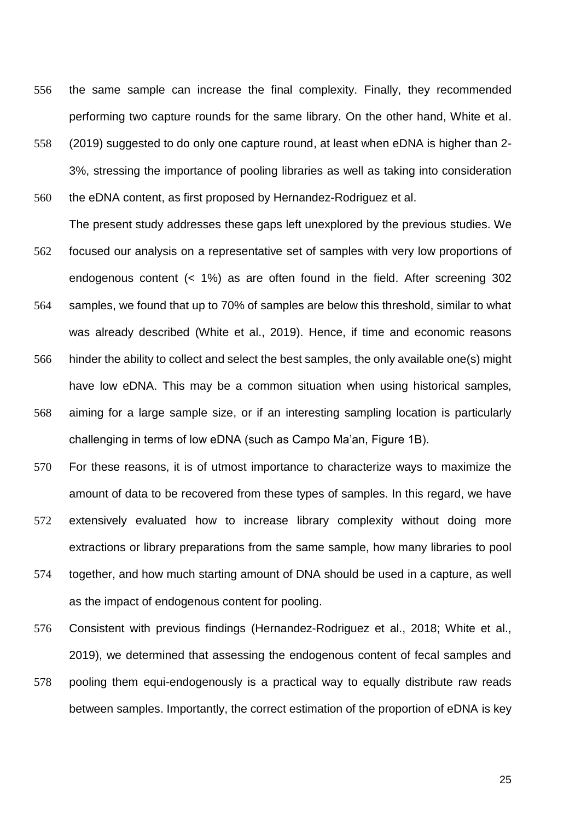- 556 the same sample can increase the final complexity. Finally, they recommended performing two capture rounds for the same library. On the other hand, White et al.
- 558 (2019) suggested to do only one capture round, at least when eDNA is higher than 2- 3%, stressing the importance of pooling libraries as well as taking into consideration

560 the eDNA content, as first proposed by Hernandez-Rodriguez et al.

- The present study addresses these gaps left unexplored by the previous studies. We 562 focused our analysis on a representative set of samples with very low proportions of endogenous content (< 1%) as are often found in the field. After screening 302
- 564 samples, we found that up to 70% of samples are below this threshold, similar to what was already described (White et al., 2019). Hence, if time and economic reasons
- 566 hinder the ability to collect and select the best samples, the only available one(s) might have low eDNA. This may be a common situation when using historical samples,
- 568 aiming for a large sample size, or if an interesting sampling location is particularly challenging in terms of low eDNA (such as Campo Ma'an, Figure 1B).
- 570 For these reasons, it is of utmost importance to characterize ways to maximize the amount of data to be recovered from these types of samples. In this regard, we have
- 572 extensively evaluated how to increase library complexity without doing more extractions or library preparations from the same sample, how many libraries to pool
- 574 together, and how much starting amount of DNA should be used in a capture, as well as the impact of endogenous content for pooling.
- 576 Consistent with previous findings (Hernandez-Rodriguez et al., 2018; White et al., 2019), we determined that assessing the endogenous content of fecal samples and
- 578 pooling them equi-endogenously is a practical way to equally distribute raw reads between samples. Importantly, the correct estimation of the proportion of eDNA is key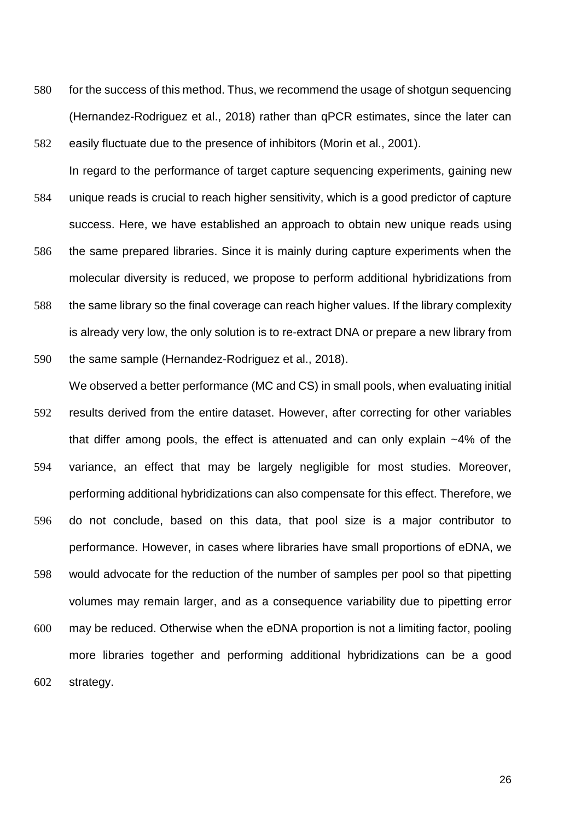- 580 for the success of this method. Thus, we recommend the usage of shotgun sequencing (Hernandez-Rodriguez et al., 2018) rather than qPCR estimates, since the later can 582 easily fluctuate due to the presence of inhibitors (Morin et al., 2001).
- In regard to the performance of target capture sequencing experiments, gaining new 584 unique reads is crucial to reach higher sensitivity, which is a good predictor of capture success. Here, we have established an approach to obtain new unique reads using 586 the same prepared libraries. Since it is mainly during capture experiments when the molecular diversity is reduced, we propose to perform additional hybridizations from 588 the same library so the final coverage can reach higher values. If the library complexity is already very low, the only solution is to re-extract DNA or prepare a new library from

### 590 the same sample (Hernandez-Rodriguez et al., 2018).

We observed a better performance (MC and CS) in small pools, when evaluating initial 592 results derived from the entire dataset. However, after correcting for other variables that differ among pools, the effect is attenuated and can only explain ~4% of the 594 variance, an effect that may be largely negligible for most studies. Moreover, performing additional hybridizations can also compensate for this effect. Therefore, we 596 do not conclude, based on this data, that pool size is a major contributor to performance. However, in cases where libraries have small proportions of eDNA, we 598 would advocate for the reduction of the number of samples per pool so that pipetting volumes may remain larger, and as a consequence variability due to pipetting error

600 may be reduced. Otherwise when the eDNA proportion is not a limiting factor, pooling more libraries together and performing additional hybridizations can be a good 602 strategy.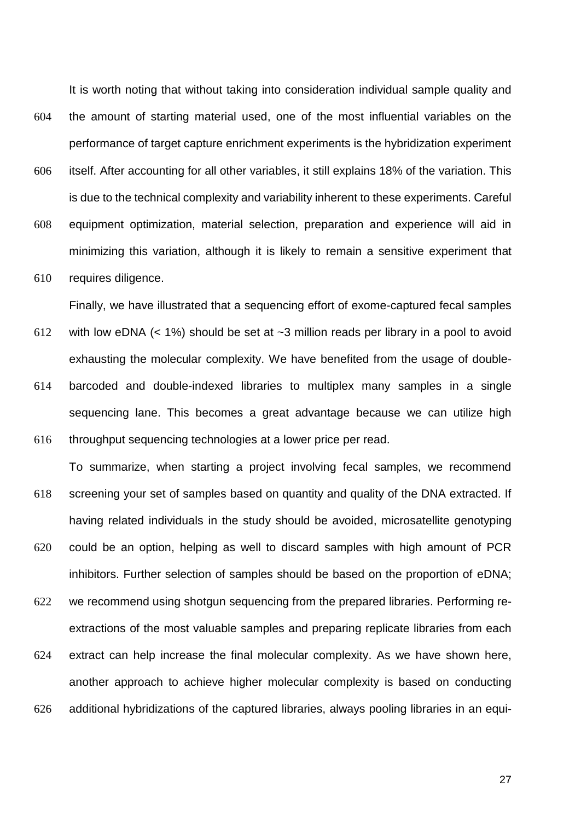It is worth noting that without taking into consideration individual sample quality and 604 the amount of starting material used, one of the most influential variables on the performance of target capture enrichment experiments is the hybridization experiment

- 606 itself. After accounting for all other variables, it still explains 18% of the variation. This is due to the technical complexity and variability inherent to these experiments. Careful
- 608 equipment optimization, material selection, preparation and experience will aid in minimizing this variation, although it is likely to remain a sensitive experiment that
- 610 requires diligence.

Finally, we have illustrated that a sequencing effort of exome-captured fecal samples

- 612 with low eDNA (< 1%) should be set at ~3 million reads per library in a pool to avoid exhausting the molecular complexity. We have benefited from the usage of double-614 barcoded and double-indexed libraries to multiplex many samples in a single sequencing lane. This becomes a great advantage because we can utilize high
- 616 throughput sequencing technologies at a lower price per read. To summarize, when starting a project involving fecal samples, we recommend
- 618 screening your set of samples based on quantity and quality of the DNA extracted. If having related individuals in the study should be avoided, microsatellite genotyping
- 620 could be an option, helping as well to discard samples with high amount of PCR inhibitors. Further selection of samples should be based on the proportion of eDNA;
- 622 we recommend using shotgun sequencing from the prepared libraries. Performing reextractions of the most valuable samples and preparing replicate libraries from each
- 624 extract can help increase the final molecular complexity. As we have shown here, another approach to achieve higher molecular complexity is based on conducting 626 additional hybridizations of the captured libraries, always pooling libraries in an equi-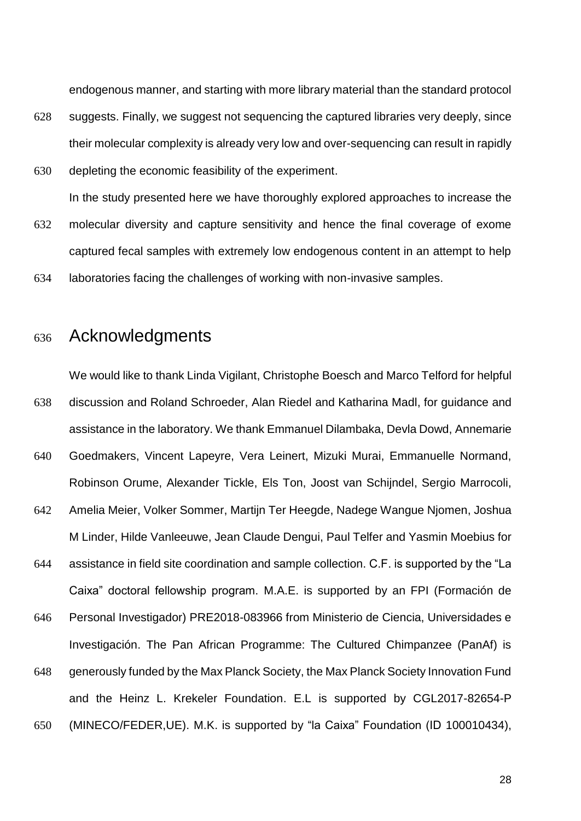endogenous manner, and starting with more library material than the standard protocol

- 628 suggests. Finally, we suggest not sequencing the captured libraries very deeply, since their molecular complexity is already very low and over-sequencing can result in rapidly
- 630 depleting the economic feasibility of the experiment.

In the study presented here we have thoroughly explored approaches to increase the

- 632 molecular diversity and capture sensitivity and hence the final coverage of exome captured fecal samples with extremely low endogenous content in an attempt to help
- 634 laboratories facing the challenges of working with non-invasive samples.

### <sup>636</sup> Acknowledgments

We would like to thank Linda Vigilant, Christophe Boesch and Marco Telford for helpful 638 discussion and Roland Schroeder, Alan Riedel and Katharina Madl, for guidance and assistance in the laboratory. We thank Emmanuel Dilambaka, Devla Dowd, Annemarie

- 640 Goedmakers, Vincent Lapeyre, Vera Leinert, Mizuki Murai, Emmanuelle Normand, Robinson Orume, Alexander Tickle, Els Ton, Joost van Schijndel, Sergio Marrocoli,
- 642 Amelia Meier, Volker Sommer, Martijn Ter Heegde, Nadege Wangue Njomen, Joshua M Linder, Hilde Vanleeuwe, Jean Claude Dengui, Paul Telfer and Yasmin Moebius for
- 644 assistance in field site coordination and sample collection. C.F. is supported by the "La Caixa" doctoral fellowship program. M.A.E. is supported by an FPI (Formación de

646 Personal Investigador) PRE2018-083966 from Ministerio de Ciencia, Universidades e Investigación. The Pan African Programme: The Cultured Chimpanzee (PanAf) is

- 648 generously funded by the Max Planck Society, the Max Planck Society Innovation Fund and the Heinz L. Krekeler Foundation. E.L is supported by CGL2017-82654-P
- 650 (MINECO/FEDER,UE). M.K. is supported by "la Caixa" Foundation (ID 100010434),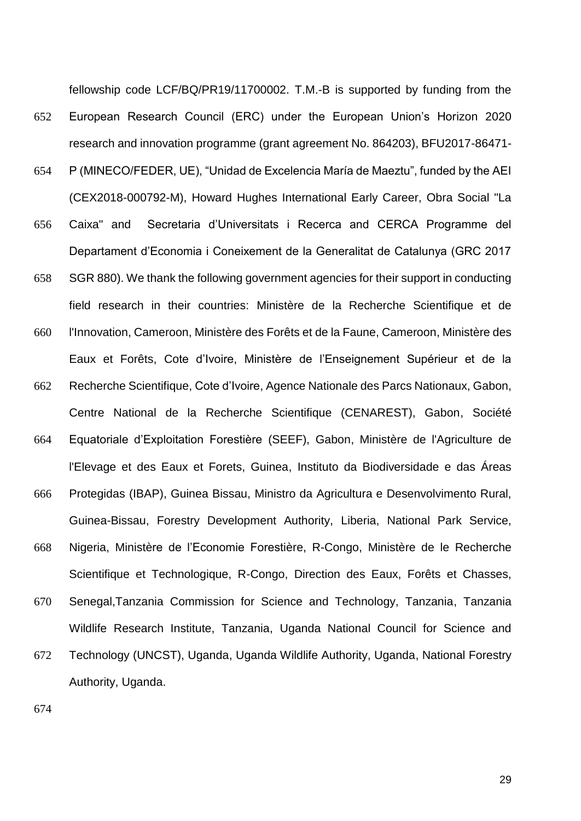fellowship code LCF/BQ/PR19/11700002. T.M.-B is supported by funding from the 652 European Research Council (ERC) under the European Union's Horizon 2020 research and innovation programme (grant agreement No. 864203), BFU2017-86471- 654 P (MINECO/FEDER, UE), "Unidad de Excelencia María de Maeztu", funded by the AEI (CEX2018-000792-M), Howard Hughes International Early Career, Obra Social "La 656 Caixa" and Secretaria d'Universitats i Recerca and CERCA Programme del Departament d'Economia i Coneixement de la Generalitat de Catalunya (GRC 2017 658 SGR 880). We thank the following government agencies for their support in conducting field research in their countries: Ministère de la Recherche Scientifique et de 660 l'Innovation, Cameroon, Ministère des Forêts et de la Faune, Cameroon, Ministère des Eaux et Forêts, Cote d'Ivoire, Ministère de l'Enseignement Supérieur et de la 662 Recherche Scientifique, Cote d'Ivoire, Agence Nationale des Parcs Nationaux, Gabon, Centre National de la Recherche Scientifique (CENAREST), Gabon, Société 664 Equatoriale d'Exploitation Forestière (SEEF), Gabon, Ministère de l'Agriculture de l'Elevage et des Eaux et Forets, Guinea, Instituto da Biodiversidade e das Áreas 666 Protegidas (IBAP), Guinea Bissau, Ministro da Agricultura e Desenvolvimento Rural, Guinea-Bissau, Forestry Development Authority, Liberia, National Park Service, 668 Nigeria, Ministère de l'Economie Forestière, R-Congo, Ministère de le Recherche Scientifique et Technologique, R-Congo, Direction des Eaux, Forêts et Chasses, 670 Senegal,Tanzania Commission for Science and Technology, Tanzania, Tanzania Wildlife Research Institute, Tanzania, Uganda National Council for Science and 672 Technology (UNCST), Uganda, Uganda Wildlife Authority, Uganda, National Forestry Authority, Uganda.

674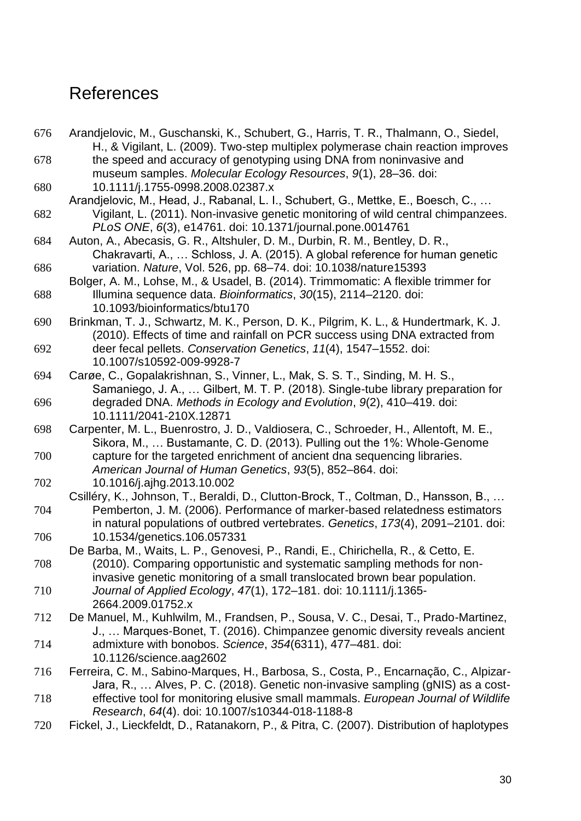### References

676 Arandjelovic, M., Guschanski, K., Schubert, G., Harris, T. R., Thalmann, O., Siedel, H., & Vigilant, L. (2009). Two-step multiplex polymerase chain reaction improves 678 the speed and accuracy of genotyping using DNA from noninvasive and museum samples. *Molecular Ecology Resources*, *9*(1), 28–36. doi: 680 10.1111/j.1755-0998.2008.02387.x Arandjelovic, M., Head, J., Rabanal, L. I., Schubert, G., Mettke, E., Boesch, C., … 682 Vigilant, L. (2011). Non-invasive genetic monitoring of wild central chimpanzees. *PLoS ONE*, *6*(3), e14761. doi: 10.1371/journal.pone.0014761 684 Auton, A., Abecasis, G. R., Altshuler, D. M., Durbin, R. M., Bentley, D. R., Chakravarti, A., … Schloss, J. A. (2015). A global reference for human genetic 686 variation. *Nature*, Vol. 526, pp. 68–74. doi: 10.1038/nature15393 Bolger, A. M., Lohse, M., & Usadel, B. (2014). Trimmomatic: A flexible trimmer for 688 Illumina sequence data. *Bioinformatics*, *30*(15), 2114–2120. doi: 10.1093/bioinformatics/btu170 690 Brinkman, T. J., Schwartz, M. K., Person, D. K., Pilgrim, K. L., & Hundertmark, K. J. (2010). Effects of time and rainfall on PCR success using DNA extracted from 692 deer fecal pellets. *Conservation Genetics*, *11*(4), 1547–1552. doi: 10.1007/s10592-009-9928-7 694 Carøe, C., Gopalakrishnan, S., Vinner, L., Mak, S. S. T., Sinding, M. H. S., Samaniego, J. A., … Gilbert, M. T. P. (2018). Single-tube library preparation for 696 degraded DNA. *Methods in Ecology and Evolution*, *9*(2), 410–419. doi: 10.1111/2041-210X.12871 698 Carpenter, M. L., Buenrostro, J. D., Valdiosera, C., Schroeder, H., Allentoft, M. E., Sikora, M., … Bustamante, C. D. (2013). Pulling out the 1%: Whole-Genome 700 capture for the targeted enrichment of ancient dna sequencing libraries. *American Journal of Human Genetics*, *93*(5), 852–864. doi: 702 10.1016/j.ajhg.2013.10.002 Csilléry, K., Johnson, T., Beraldi, D., Clutton-Brock, T., Coltman, D., Hansson, B., … 704 Pemberton, J. M. (2006). Performance of marker-based relatedness estimators in natural populations of outbred vertebrates. *Genetics*, *173*(4), 2091–2101. doi: 706 10.1534/genetics.106.057331 De Barba, M., Waits, L. P., Genovesi, P., Randi, E., Chirichella, R., & Cetto, E. 708 (2010). Comparing opportunistic and systematic sampling methods for noninvasive genetic monitoring of a small translocated brown bear population. 710 *Journal of Applied Ecology*, *47*(1), 172–181. doi: 10.1111/j.1365- 2664.2009.01752.x 712 De Manuel, M., Kuhlwilm, M., Frandsen, P., Sousa, V. C., Desai, T., Prado-Martinez, J., … Marques-Bonet, T. (2016). Chimpanzee genomic diversity reveals ancient 714 admixture with bonobos. *Science*, *354*(6311), 477–481. doi: 10.1126/science.aag2602 716 Ferreira, C. M., Sabino-Marques, H., Barbosa, S., Costa, P., Encarnação, C., Alpizar-Jara, R., … Alves, P. C. (2018). Genetic non-invasive sampling (gNIS) as a cost-718 effective tool for monitoring elusive small mammals. *European Journal of Wildlife Research*, *64*(4). doi: 10.1007/s10344-018-1188-8 720 Fickel, J., Lieckfeldt, D., Ratanakorn, P., & Pitra, C. (2007). Distribution of haplotypes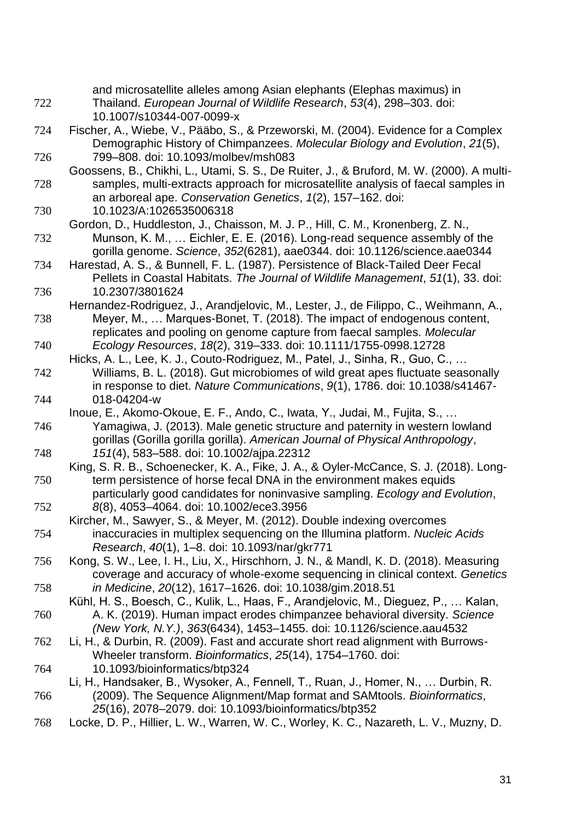| 722 | and microsatellite alleles among Asian elephants (Elephas maximus) in<br>Thailand. European Journal of Wildlife Research, 53(4), 298-303. doi:                                                                                                   |
|-----|--------------------------------------------------------------------------------------------------------------------------------------------------------------------------------------------------------------------------------------------------|
| 724 | 10.1007/s10344-007-0099-x<br>Fischer, A., Wiebe, V., Pääbo, S., & Przeworski, M. (2004). Evidence for a Complex<br>Demographic History of Chimpanzees. Molecular Biology and Evolution, 21(5),                                                   |
| 726 | 799-808. doi: 10.1093/molbev/msh083                                                                                                                                                                                                              |
| 728 | Goossens, B., Chikhi, L., Utami, S. S., De Ruiter, J., & Bruford, M. W. (2000). A multi-<br>samples, multi-extracts approach for microsatellite analysis of faecal samples in<br>an arboreal ape. Conservation Genetics, 1(2), 157-162. doi:     |
| 730 | 10.1023/A:1026535006318                                                                                                                                                                                                                          |
| 732 | Gordon, D., Huddleston, J., Chaisson, M. J. P., Hill, C. M., Kronenberg, Z. N.,<br>Munson, K. M.,  Eichler, E. E. (2016). Long-read sequence assembly of the<br>gorilla genome. Science, 352(6281), aae0344. doi: 10.1126/science.aae0344        |
| 734 | Harestad, A. S., & Bunnell, F. L. (1987). Persistence of Black-Tailed Deer Fecal<br>Pellets in Coastal Habitats. The Journal of Wildlife Management, 51(1), 33. doi:                                                                             |
| 736 | 10.2307/3801624<br>Hernandez-Rodriguez, J., Arandjelovic, M., Lester, J., de Filippo, C., Weihmann, A.,                                                                                                                                          |
| 738 | Meyer, M.,  Marques-Bonet, T. (2018). The impact of endogenous content,<br>replicates and pooling on genome capture from faecal samples. Molecular                                                                                               |
| 740 | Ecology Resources, 18(2), 319-333. doi: 10.1111/1755-0998.12728                                                                                                                                                                                  |
| 742 | Hicks, A. L., Lee, K. J., Couto-Rodriguez, M., Patel, J., Sinha, R., Guo, C.,<br>Williams, B. L. (2018). Gut microbiomes of wild great apes fluctuate seasonally<br>in response to diet. Nature Communications, 9(1), 1786. doi: 10.1038/s41467- |
| 744 | 018-04204-w                                                                                                                                                                                                                                      |
| 746 | Inoue, E., Akomo-Okoue, E. F., Ando, C., Iwata, Y., Judai, M., Fujita, S.,<br>Yamagiwa, J. (2013). Male genetic structure and paternity in western lowland<br>gorillas (Gorilla gorilla gorilla). American Journal of Physical Anthropology,     |
| 748 | 151(4), 583-588. doi: 10.1002/ajpa.22312                                                                                                                                                                                                         |
| 750 | King, S. R. B., Schoenecker, K. A., Fike, J. A., & Oyler-McCance, S. J. (2018). Long-<br>term persistence of horse fecal DNA in the environment makes equids                                                                                     |
| 752 | particularly good candidates for noninvasive sampling. Ecology and Evolution,<br>8(8), 4053-4064. doi: 10.1002/ece3.3956                                                                                                                         |
|     | Kircher, M., Sawyer, S., & Meyer, M. (2012). Double indexing overcomes                                                                                                                                                                           |
| 754 | inaccuracies in multiplex sequencing on the Illumina platform. Nucleic Acids<br>Research, 40(1), 1-8. doi: 10.1093/nar/gkr771                                                                                                                    |
| 756 | Kong, S. W., Lee, I. H., Liu, X., Hirschhorn, J. N., & Mandl, K. D. (2018). Measuring<br>coverage and accuracy of whole-exome sequencing in clinical context. Genetics                                                                           |
| 758 | in Medicine, 20(12), 1617-1626. doi: 10.1038/gim.2018.51                                                                                                                                                                                         |
|     | Kühl, H. S., Boesch, C., Kulik, L., Haas, F., Arandjelovic, M., Dieguez, P.,  Kalan,                                                                                                                                                             |
| 760 | A. K. (2019). Human impact erodes chimpanzee behavioral diversity. Science<br>(New York, N.Y.), 363(6434), 1453-1455. doi: 10.1126/science.aau4532                                                                                               |
| 762 | Li, H., & Durbin, R. (2009). Fast and accurate short read alignment with Burrows-<br>Wheeler transform. Bioinformatics, 25(14), 1754-1760. doi:                                                                                                  |
| 764 | 10.1093/bioinformatics/btp324                                                                                                                                                                                                                    |
| 766 | Li, H., Handsaker, B., Wysoker, A., Fennell, T., Ruan, J., Homer, N.,  Durbin, R.<br>(2009). The Sequence Alignment/Map format and SAMtools. Bioinformatics,<br>25(16), 2078-2079. doi: 10.1093/bioinformatics/btp352                            |
| 768 | Locke, D. P., Hillier, L. W., Warren, W. C., Worley, K. C., Nazareth, L. V., Muzny, D.                                                                                                                                                           |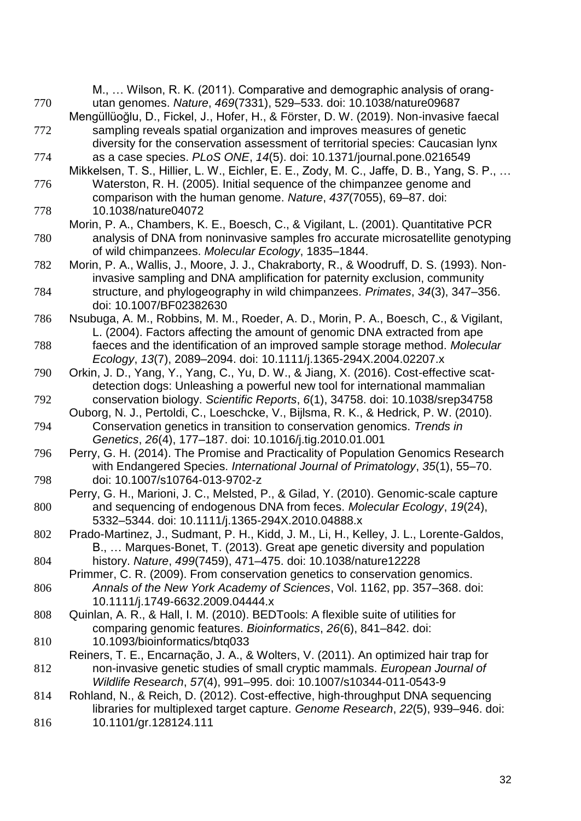|     | M.,  Wilson, R. K. (2011). Comparative and demographic analysis of orang-                 |
|-----|-------------------------------------------------------------------------------------------|
| 770 | utan genomes. Nature, 469(7331), 529-533. doi: 10.1038/nature09687                        |
|     | Mengüllüoğlu, D., Fickel, J., Hofer, H., & Förster, D. W. (2019). Non-invasive faecal     |
| 772 | sampling reveals spatial organization and improves measures of genetic                    |
|     | diversity for the conservation assessment of territorial species: Caucasian lynx          |
| 774 | as a case species. PLoS ONE, 14(5). doi: 10.1371/journal.pone.0216549                     |
|     | Mikkelsen, T. S., Hillier, L. W., Eichler, E. E., Zody, M. C., Jaffe, D. B., Yang, S. P., |
| 776 | Waterston, R. H. (2005). Initial sequence of the chimpanzee genome and                    |
|     | comparison with the human genome. Nature, 437(7055), 69-87. doi:                          |
| 778 | 10.1038/nature04072                                                                       |
|     | Morin, P. A., Chambers, K. E., Boesch, C., & Vigilant, L. (2001). Quantitative PCR        |
| 780 | analysis of DNA from noninvasive samples fro accurate microsatellite genotyping           |
|     | of wild chimpanzees. Molecular Ecology, 1835-1844.                                        |
| 782 | Morin, P. A., Wallis, J., Moore, J. J., Chakraborty, R., & Woodruff, D. S. (1993). Non-   |
|     | invasive sampling and DNA amplification for paternity exclusion, community                |
|     |                                                                                           |
| 784 | structure, and phylogeography in wild chimpanzees. Primates, 34(3), 347–356.              |
|     | doi: 10.1007/BF02382630                                                                   |
| 786 | Nsubuga, A. M., Robbins, M. M., Roeder, A. D., Morin, P. A., Boesch, C., & Vigilant,      |
|     | L. (2004). Factors affecting the amount of genomic DNA extracted from ape                 |
| 788 | faeces and the identification of an improved sample storage method. Molecular             |
|     | Ecology, 13(7), 2089-2094. doi: 10.1111/j.1365-294X.2004.02207.x                          |
| 790 | Orkin, J. D., Yang, Y., Yang, C., Yu, D. W., & Jiang, X. (2016). Cost-effective scat-     |
|     | detection dogs: Unleashing a powerful new tool for international mammalian                |
| 792 | conservation biology. Scientific Reports, 6(1), 34758. doi: 10.1038/srep34758             |
|     | Ouborg, N. J., Pertoldi, C., Loeschcke, V., Bijlsma, R. K., & Hedrick, P. W. (2010).      |
| 794 | Conservation genetics in transition to conservation genomics. Trends in                   |
|     | Genetics, 26(4), 177-187. doi: 10.1016/j.tig.2010.01.001                                  |
| 796 | Perry, G. H. (2014). The Promise and Practicality of Population Genomics Research         |
|     | with Endangered Species. International Journal of Primatology, 35(1), 55-70.              |
| 798 | doi: 10.1007/s10764-013-9702-z                                                            |
|     | Perry, G. H., Marioni, J. C., Melsted, P., & Gilad, Y. (2010). Genomic-scale capture      |
| 800 | and sequencing of endogenous DNA from feces. Molecular Ecology, 19(24),                   |
|     | 5332-5344. doi: 10.1111/j.1365-294X.2010.04888.x                                          |
| 802 | Prado-Martinez, J., Sudmant, P. H., Kidd, J. M., Li, H., Kelley, J. L., Lorente-Galdos,   |
|     | B.,  Marques-Bonet, T. (2013). Great ape genetic diversity and population                 |
| 804 | history. Nature, 499(7459), 471-475. doi: 10.1038/nature12228                             |
|     | Primmer, C. R. (2009). From conservation genetics to conservation genomics.               |
| 806 | Annals of the New York Academy of Sciences, Vol. 1162, pp. 357-368. doi:                  |
|     | 10.1111/j.1749-6632.2009.04444.x                                                          |
| 808 | Quinlan, A. R., & Hall, I. M. (2010). BEDTools: A flexible suite of utilities for         |
|     | comparing genomic features. Bioinformatics, 26(6), 841-842. doi:                          |
| 810 | 10.1093/bioinformatics/btq033                                                             |
|     | Reiners, T. E., Encarnação, J. A., & Wolters, V. (2011). An optimized hair trap for       |
| 812 | non-invasive genetic studies of small cryptic mammals. European Journal of                |
|     | Wildlife Research, 57(4), 991-995. doi: 10.1007/s10344-011-0543-9                         |
| 814 | Rohland, N., & Reich, D. (2012). Cost-effective, high-throughput DNA sequencing           |
|     | libraries for multiplexed target capture. Genome Research, 22(5), 939–946. doi:           |
| 816 | 10.1101/gr.128124.111                                                                     |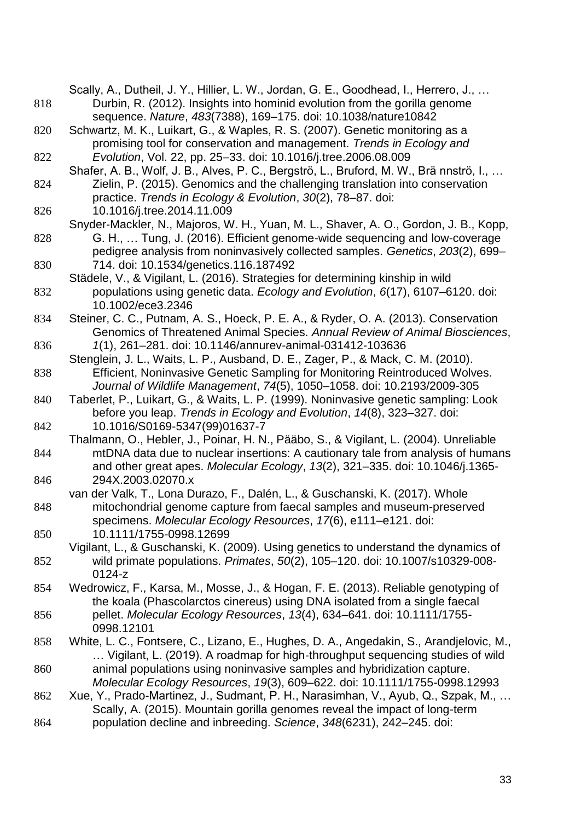|     | Scally, A., Dutheil, J. Y., Hillier, L. W., Jordan, G. E., Goodhead, I., Herrero, J.,                                                                                    |
|-----|--------------------------------------------------------------------------------------------------------------------------------------------------------------------------|
| 818 | Durbin, R. (2012). Insights into hominid evolution from the gorilla genome                                                                                               |
|     | sequence. Nature, 483(7388), 169-175. doi: 10.1038/nature10842                                                                                                           |
| 820 | Schwartz, M. K., Luikart, G., & Waples, R. S. (2007). Genetic monitoring as a                                                                                            |
|     | promising tool for conservation and management. Trends in Ecology and                                                                                                    |
| 822 | Evolution, Vol. 22, pp. 25-33. doi: 10.1016/j.tree.2006.08.009                                                                                                           |
|     | Shafer, A. B., Wolf, J. B., Alves, P. C., Bergströ, L., Bruford, M. W., Brännströ, I.,                                                                                   |
| 824 | Zielin, P. (2015). Genomics and the challenging translation into conservation                                                                                            |
|     | practice. Trends in Ecology & Evolution, 30(2), 78-87. doi:                                                                                                              |
| 826 | 10.1016/j.tree.2014.11.009                                                                                                                                               |
|     | Snyder-Mackler, N., Majoros, W. H., Yuan, M. L., Shaver, A. O., Gordon, J. B., Kopp,                                                                                     |
| 828 | G. H.,  Tung, J. (2016). Efficient genome-wide sequencing and low-coverage                                                                                               |
|     | pedigree analysis from noninvasively collected samples. Genetics, 203(2), 699-                                                                                           |
| 830 | 714. doi: 10.1534/genetics.116.187492                                                                                                                                    |
|     | Städele, V., & Vigilant, L. (2016). Strategies for determining kinship in wild                                                                                           |
|     | populations using genetic data. Ecology and Evolution, 6(17), 6107–6120. doi:                                                                                            |
| 832 |                                                                                                                                                                          |
|     | 10.1002/ece3.2346                                                                                                                                                        |
| 834 | Steiner, C. C., Putnam, A. S., Hoeck, P. E. A., & Ryder, O. A. (2013). Conservation                                                                                      |
|     | Genomics of Threatened Animal Species. Annual Review of Animal Biosciences,                                                                                              |
| 836 | 1(1), 261-281. doi: 10.1146/annurev-animal-031412-103636                                                                                                                 |
|     | Stenglein, J. L., Waits, L. P., Ausband, D. E., Zager, P., & Mack, C. M. (2010).                                                                                         |
| 838 | Efficient, Noninvasive Genetic Sampling for Monitoring Reintroduced Wolves.                                                                                              |
|     | Journal of Wildlife Management, 74(5), 1050-1058. doi: 10.2193/2009-305                                                                                                  |
| 840 | Taberlet, P., Luikart, G., & Waits, L. P. (1999). Noninvasive genetic sampling: Look                                                                                     |
|     | before you leap. Trends in Ecology and Evolution, 14(8), 323-327. doi:<br>10.1016/S0169-5347(99)01637-7                                                                  |
| 842 |                                                                                                                                                                          |
| 844 | Thalmann, O., Hebler, J., Poinar, H. N., Pääbo, S., & Vigilant, L. (2004). Unreliable<br>mtDNA data due to nuclear insertions: A cautionary tale from analysis of humans |
|     |                                                                                                                                                                          |
|     | and other great apes. Molecular Ecology, 13(2), 321-335. doi: 10.1046/j.1365-<br>294X.2003.02070.x                                                                       |
| 846 | van der Valk, T., Lona Durazo, F., Dalén, L., & Guschanski, K. (2017). Whole                                                                                             |
|     |                                                                                                                                                                          |
| 848 | mitochondrial genome capture from faecal samples and museum-preserved                                                                                                    |
|     | specimens. Molecular Ecology Resources, 17(6), e111-e121. doi:<br>10.1111/1755-0998.12699                                                                                |
| 850 |                                                                                                                                                                          |
|     | Vigilant, L., & Guschanski, K. (2009). Using genetics to understand the dynamics of<br>wild primate populations. Primates, 50(2), 105-120. doi: 10.1007/s10329-008-      |
| 852 | 0124-z                                                                                                                                                                   |
|     |                                                                                                                                                                          |
| 854 | Wedrowicz, F., Karsa, M., Mosse, J., & Hogan, F. E. (2013). Reliable genotyping of                                                                                       |
|     | the koala (Phascolarctos cinereus) using DNA isolated from a single faecal                                                                                               |
| 856 | pellet. Molecular Ecology Resources, 13(4), 634–641. doi: 10.1111/1755-                                                                                                  |
|     | 0998.12101                                                                                                                                                               |
| 858 | White, L. C., Fontsere, C., Lizano, E., Hughes, D. A., Angedakin, S., Arandjelovic, M.,                                                                                  |
|     | Vigilant, L. (2019). A roadmap for high-throughput sequencing studies of wild                                                                                            |
| 860 | animal populations using noninvasive samples and hybridization capture.                                                                                                  |
|     | Molecular Ecology Resources, 19(3), 609-622. doi: 10.1111/1755-0998.12993                                                                                                |
| 862 | Xue, Y., Prado-Martinez, J., Sudmant, P. H., Narasimhan, V., Ayub, Q., Szpak, M.,                                                                                        |
|     | Scally, A. (2015). Mountain gorilla genomes reveal the impact of long-term                                                                                               |
| 864 | population decline and inbreeding. Science, 348(6231), 242-245. doi:                                                                                                     |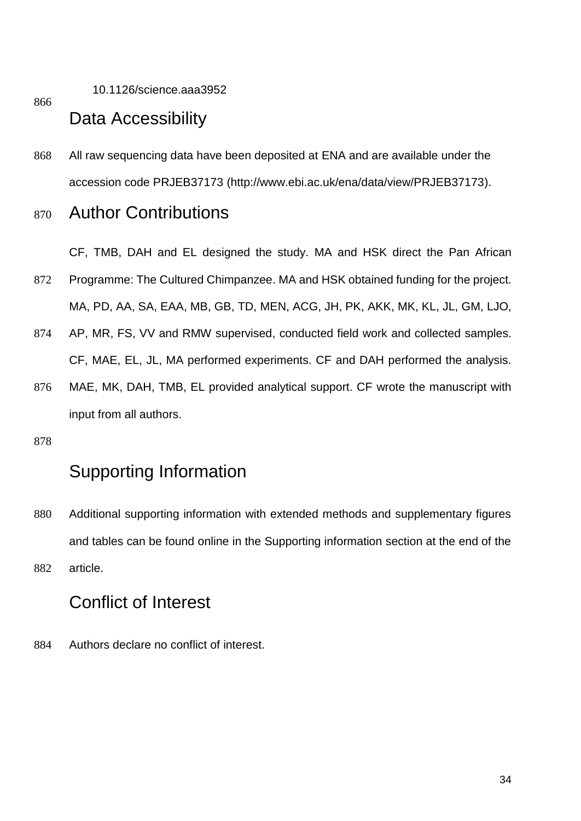10.1126/science.aaa3952

866

### Data Accessibility

868 All raw sequencing data have been deposited at ENA and are available under the accession code PRJEB37173 (http://www.ebi.ac.uk/ena/data/view/PRJEB37173).

### <sup>870</sup> Author Contributions

CF, TMB, DAH and EL designed the study. MA and HSK direct the Pan African

- 872 Programme: The Cultured Chimpanzee. MA and HSK obtained funding for the project. MA, PD, AA, SA, EAA, MB, GB, TD, MEN, ACG, JH, PK, AKK, MK, KL, JL, GM, LJO,
- 874 AP, MR, FS, VV and RMW supervised, conducted field work and collected samples. CF, MAE, EL, JL, MA performed experiments. CF and DAH performed the analysis.
- 876 MAE, MK, DAH, TMB, EL provided analytical support. CF wrote the manuscript with input from all authors.
- 878

# Supporting Information

880 Additional supporting information with extended methods and supplementary figures and tables can be found online in the Supporting information section at the end of the 882 article.

### Conflict of Interest

884 Authors declare no conflict of interest.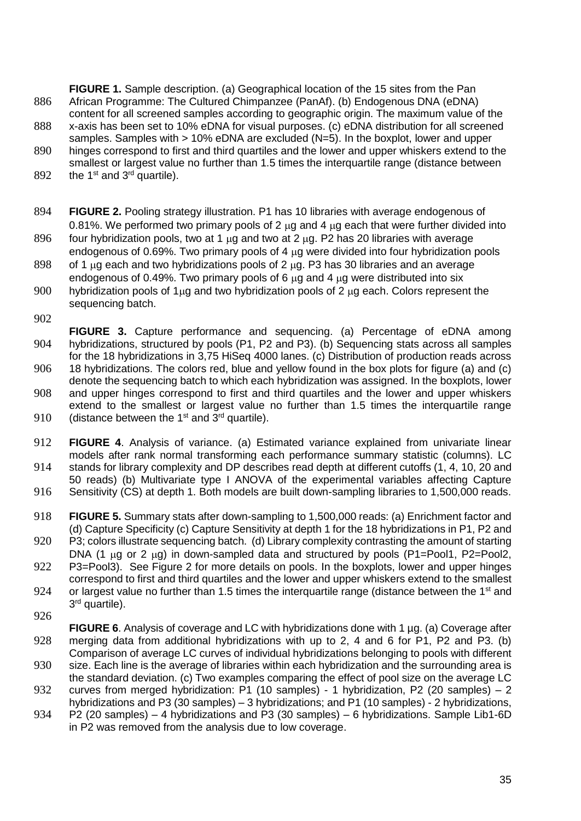**FIGURE 1.** Sample description. (a) Geographical location of the 15 sites from the Pan 886 African Programme: The Cultured Chimpanzee (PanAf). (b) Endogenous DNA (eDNA) content for all screened samples according to geographic origin. The maximum value of the

- 888 x-axis has been set to 10% eDNA for visual purposes. (c) eDNA distribution for all screened samples. Samples with > 10% eDNA are excluded (N=5). In the boxplot, lower and upper
- 890 hinges correspond to first and third quartiles and the lower and upper whiskers extend to the smallest or largest value no further than 1.5 times the interquartile range (distance between
- 892 the 1<sup>st</sup> and  $3<sup>rd</sup>$  quartile).
- 894 **FIGURE 2.** Pooling strategy illustration. P1 has 10 libraries with average endogenous of 0.81%. We performed two primary pools of 2  $\mu$ g and 4  $\mu$ g each that were further divided into
- 896 four hybridization pools, two at 1  $\mu$ g and two at 2  $\mu$ g. P2 has 20 libraries with average endogenous of 0.69%. Two primary pools of 4 ug were divided into four hybridization pools
- 898 of 1  $\mu$ q each and two hybridizations pools of 2  $\mu$ q. P3 has 30 libraries and an average endogenous of 0.49%. Two primary pools of 6  $\mu$ g and 4  $\mu$ g were distributed into six
- 900 hybridization pools of 1 $\mu$ g and two hybridization pools of 2  $\mu$ g each. Colors represent the sequencing batch.
- 902

**FIGURE 3.** Capture performance and sequencing. (a) Percentage of eDNA among 904 hybridizations, structured by pools (P1, P2 and P3). (b) Sequencing stats across all samples for the 18 hybridizations in 3,75 HiSeq 4000 lanes. (c) Distribution of production reads across 906 18 hybridizations. The colors red, blue and yellow found in the box plots for figure (a) and (c) denote the sequencing batch to which each hybridization was assigned. In the boxplots, lower 908 and upper hinges correspond to first and third quartiles and the lower and upper whiskers extend to the smallest or largest value no further than 1.5 times the interquartile range

- 910 (distance between the 1<sup>st</sup> and  $3<sup>rd</sup>$  quartile).
- 912 **FIGURE 4**. Analysis of variance. (a) Estimated variance explained from univariate linear models after rank normal transforming each performance summary statistic (columns). LC
- 914 stands for library complexity and DP describes read depth at different cutoffs (1, 4, 10, 20 and 50 reads) (b) Multivariate type I ANOVA of the experimental variables affecting Capture
- 916 Sensitivity (CS) at depth 1. Both models are built down-sampling libraries to 1,500,000 reads.
- 918 **FIGURE 5.** Summary stats after down-sampling to 1,500,000 reads: (a) Enrichment factor and (d) Capture Specificity (c) Capture Sensitivity at depth 1 for the 18 hybridizations in P1, P2 and
- 920 P3; colors illustrate sequencing batch. (d) Library complexity contrasting the amount of starting DNA (1  $\mu$ g or 2  $\mu$ g) in down-sampled data and structured by pools (P1=Pool1, P2=Pool2,
- 922 P3=Pool3). See Figure 2 for more details on pools. In the boxplots, lower and upper hinges correspond to first and third quartiles and the lower and upper whiskers extend to the smallest
- 924 or largest value no further than 1.5 times the interguartile range (distance between the 1<sup>st</sup> and 3<sup>rd</sup> quartile).
- 926
- **FIGURE 6.** Analysis of coverage and LC with hybridizations done with 1 µg. (a) Coverage after 928 merging data from additional hybridizations with up to 2, 4 and 6 for P1, P2 and P3. (b) Comparison of average LC curves of individual hybridizations belonging to pools with different
- 930 size. Each line is the average of libraries within each hybridization and the surrounding area is the standard deviation. (c) Two examples comparing the effect of pool size on the average LC
- 932 curves from merged hybridization: P1 (10 samples) 1 hybridization, P2 (20 samples) 2 hybridizations and P3 (30 samples) – 3 hybridizations; and P1 (10 samples) - 2 hybridizations,
- 934 P2 (20 samples) 4 hybridizations and P3 (30 samples) 6 hybridizations. Sample Lib1-6D in P2 was removed from the analysis due to low coverage.